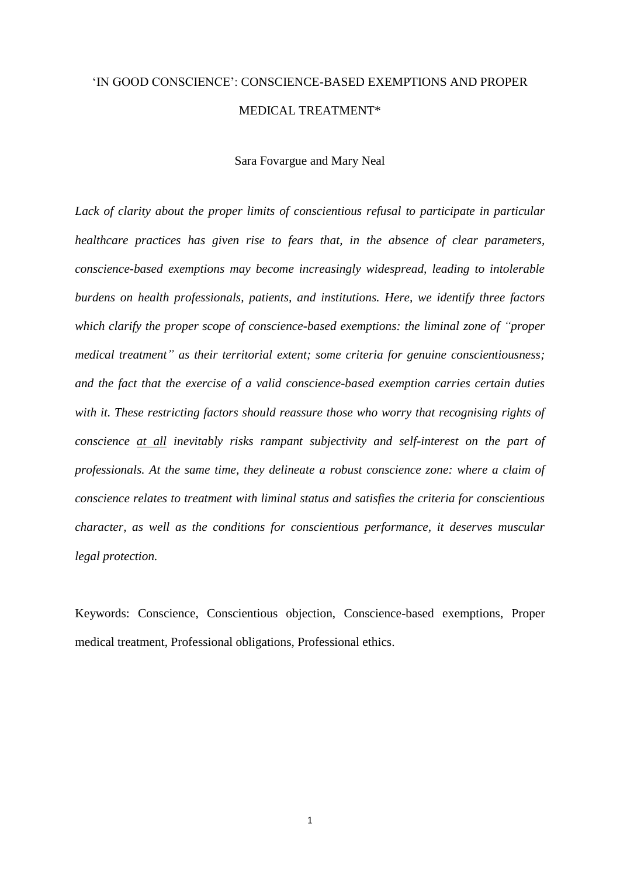# "IN GOOD CONSCIENCE": CONSCIENCE-BASED EXEMPTIONS AND PROPER MEDICAL TREATMENT\*

Sara Fovargue and Mary Neal

Lack of clarity about the proper limits of conscientious refusal to participate in particular *healthcare practices has given rise to fears that, in the absence of clear parameters, conscience-based exemptions may become increasingly widespread, leading to intolerable burdens on health professionals, patients, and institutions. Here, we identify three factors which clarify the proper scope of conscience-based exemptions: the liminal zone of "proper medical treatment" as their territorial extent; some criteria for genuine conscientiousness; and the fact that the exercise of a valid conscience-based exemption carries certain duties with it. These restricting factors should reassure those who worry that recognising rights of conscience at all inevitably risks rampant subjectivity and self-interest on the part of professionals. At the same time, they delineate a robust conscience zone: where a claim of conscience relates to treatment with liminal status and satisfies the criteria for conscientious character, as well as the conditions for conscientious performance, it deserves muscular legal protection.*

Keywords: Conscience, Conscientious objection, Conscience-based exemptions, Proper medical treatment, Professional obligations, Professional ethics.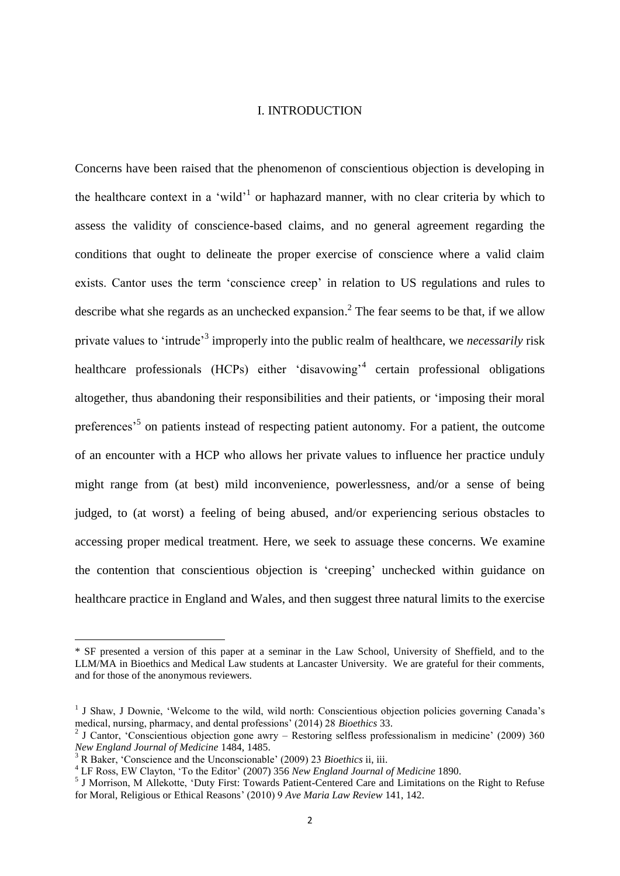### I. INTRODUCTION

Concerns have been raised that the phenomenon of conscientious objection is developing in the healthcare context in a 'wild'<sup>1</sup> or haphazard manner, with no clear criteria by which to assess the validity of conscience-based claims, and no general agreement regarding the conditions that ought to delineate the proper exercise of conscience where a valid claim exists. Cantor uses the term "conscience creep" in relation to US regulations and rules to describe what she regards as an unchecked expansion.<sup>2</sup> The fear seems to be that, if we allow private values to 'intrude<sup>'3</sup> improperly into the public realm of healthcare, we *necessarily* risk healthcare professionals (HCPs) either 'disavowing'<sup>4</sup> certain professional obligations altogether, thus abandoning their responsibilities and their patients, or "imposing their moral preferences<sup>5</sup> on patients instead of respecting patient autonomy. For a patient, the outcome of an encounter with a HCP who allows her private values to influence her practice unduly might range from (at best) mild inconvenience, powerlessness, and/or a sense of being judged, to (at worst) a feeling of being abused, and/or experiencing serious obstacles to accessing proper medical treatment. Here, we seek to assuage these concerns. We examine the contention that conscientious objection is "creeping" unchecked within guidance on healthcare practice in England and Wales, and then suggest three natural limits to the exercise

 $\overline{\phantom{a}}$ 

<sup>\*</sup> SF presented a version of this paper at a seminar in the Law School, University of Sheffield, and to the LLM/MA in Bioethics and Medical Law students at Lancaster University. We are grateful for their comments, and for those of the anonymous reviewers.

<sup>&</sup>lt;sup>1</sup> J Shaw, J Downie, 'Welcome to the wild, wild north: Conscientious objection policies governing Canada's medical, nursing, pharmacy, and dental professions" (2014) 28 *Bioethics* 33.

<sup>&</sup>lt;sup>2</sup> J Cantor, 'Conscientious objection gone awry – Restoring selfless professionalism in medicine' (2009) 360 *New England Journal of Medicine* 1484, 1485.

<sup>3</sup> R Baker, "Conscience and the Unconscionable" (2009) 23 *Bioethics* ii, iii.

<sup>&</sup>lt;sup>4</sup> LF Ross, EW Clayton, 'To the Editor' (2007) 356 *New England Journal of Medicine* 1890.<br><sup>5</sup> J Morrison, M Allekotte, 'Duty First: Towards Patient-Centered Care and Limitations on the Right to Refuse for Moral, Religious or Ethical Reasons" (2010) 9 *Ave Maria Law Review* 141, 142.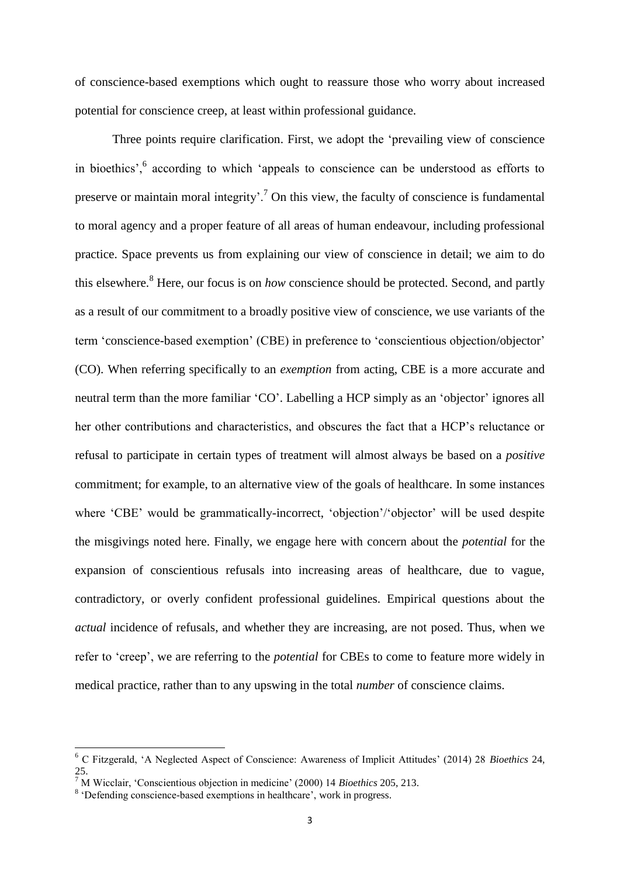of conscience-based exemptions which ought to reassure those who worry about increased potential for conscience creep, at least within professional guidance.

Three points require clarification. First, we adopt the "prevailing view of conscience in bioethics',<sup>6</sup> according to which 'appeals to conscience can be understood as efforts to preserve or maintain moral integrity'.<sup>7</sup> On this view, the faculty of conscience is fundamental to moral agency and a proper feature of all areas of human endeavour, including professional practice. Space prevents us from explaining our view of conscience in detail; we aim to do this elsewhere.<sup>8</sup> Here, our focus is on *how* conscience should be protected. Second, and partly as a result of our commitment to a broadly positive view of conscience, we use variants of the term "conscience-based exemption" (CBE) in preference to "conscientious objection/objector" (CO). When referring specifically to an *exemption* from acting, CBE is a more accurate and neutral term than the more familiar 'CO'. Labelling a HCP simply as an 'objector' ignores all her other contributions and characteristics, and obscures the fact that a HCP"s reluctance or refusal to participate in certain types of treatment will almost always be based on a *positive* commitment; for example, to an alternative view of the goals of healthcare. In some instances where 'CBE' would be grammatically-incorrect, 'objection'/'objector' will be used despite the misgivings noted here. Finally, we engage here with concern about the *potential* for the expansion of conscientious refusals into increasing areas of healthcare, due to vague, contradictory, or overly confident professional guidelines. Empirical questions about the *actual* incidence of refusals, and whether they are increasing, are not posed. Thus, when we refer to "creep", we are referring to the *potential* for CBEs to come to feature more widely in medical practice, rather than to any upswing in the total *number* of conscience claims.

<sup>6</sup> C Fitzgerald, "A Neglected Aspect of Conscience: Awareness of Implicit Attitudes" (2014) 28 *Bioethics* 24, 25.

<sup>7</sup> M Wicclair, "Conscientious objection in medicine" (2000) 14 *Bioethics* 205, 213.

<sup>&</sup>lt;sup>8</sup> 'Defending conscience-based exemptions in healthcare', work in progress.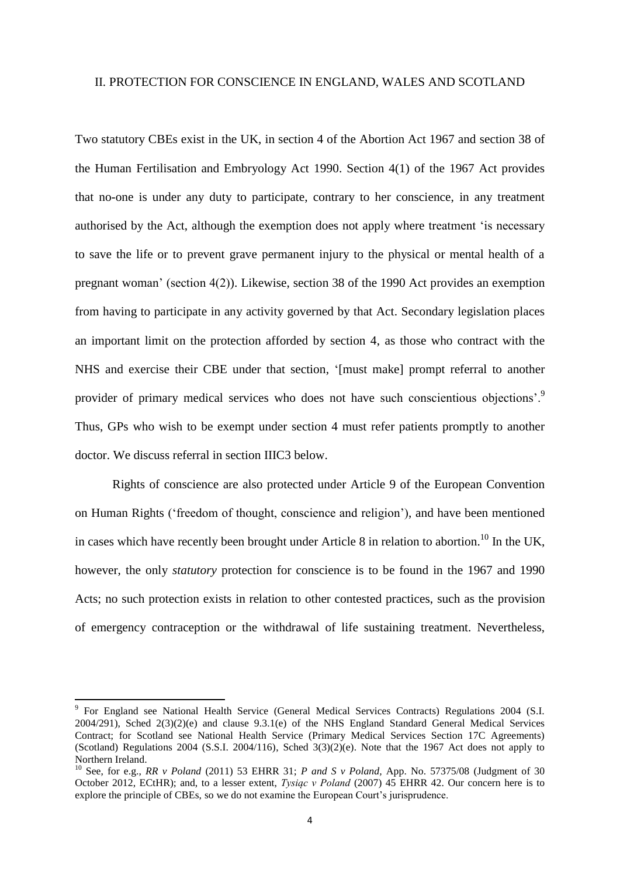### II. PROTECTION FOR CONSCIENCE IN ENGLAND, WALES AND SCOTLAND

Two statutory CBEs exist in the UK, in section 4 of the Abortion Act 1967 and section 38 of the Human Fertilisation and Embryology Act 1990. Section 4(1) of the 1967 Act provides that no-one is under any duty to participate, contrary to her conscience, in any treatment authorised by the Act, although the exemption does not apply where treatment "is necessary to save the life or to prevent grave permanent injury to the physical or mental health of a pregnant woman" (section 4(2)). Likewise, section 38 of the 1990 Act provides an exemption from having to participate in any activity governed by that Act. Secondary legislation places an important limit on the protection afforded by section 4, as those who contract with the NHS and exercise their CBE under that section, "[must make] prompt referral to another provider of primary medical services who does not have such conscientious objections'.<sup>9</sup> Thus, GPs who wish to be exempt under section 4 must refer patients promptly to another doctor. We discuss referral in section IIIC3 below.

Rights of conscience are also protected under Article 9 of the European Convention on Human Rights ("freedom of thought, conscience and religion"), and have been mentioned in cases which have recently been brought under Article 8 in relation to abortion.<sup>10</sup> In the UK, however, the only *statutory* protection for conscience is to be found in the 1967 and 1990 Acts; no such protection exists in relation to other contested practices, such as the provision of emergency contraception or the withdrawal of life sustaining treatment. Nevertheless,

<sup>&</sup>lt;sup>9</sup> For England see National Health Service (General Medical Services Contracts) Regulations 2004 (S.I. 2004/291), Sched 2(3)(2)(e) and clause 9.3.1(e) of the NHS England Standard General Medical Services Contract; for Scotland see National Health Service (Primary Medical Services Section 17C Agreements) (Scotland) Regulations 2004 (S.S.I. 2004/116), Sched 3(3)(2)(e). Note that the 1967 Act does not apply to Northern Ireland.

<sup>10</sup> See, for e.g., *RR v Poland* (2011) 53 EHRR 31; *P and S v Poland,* App. No. 57375/08 (Judgment of 30 October 2012, ECtHR); and, to a lesser extent, *Tysiąc v Poland* (2007) 45 EHRR 42. Our concern here is to explore the principle of CBEs, so we do not examine the European Court's jurisprudence.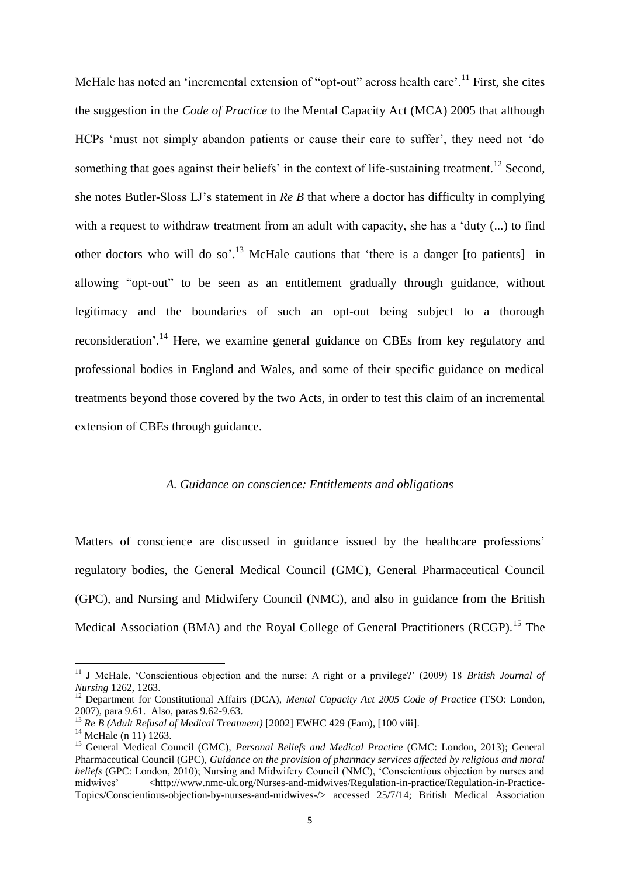McHale has noted an 'incremental extension of "opt-out" across health care'.<sup>11</sup> First, she cites the suggestion in the *Code of Practice* to the Mental Capacity Act (MCA) 2005 that although HCPs "must not simply abandon patients or cause their care to suffer", they need not "do something that goes against their beliefs' in the context of life-sustaining treatment.<sup>12</sup> Second, she notes Butler-Sloss LJ"s statement in *Re B* that where a doctor has difficulty in complying with a request to withdraw treatment from an adult with capacity, she has a 'duty (...) to find other doctors who will do so'.<sup>13</sup> McHale cautions that 'there is a danger [to patients] in allowing "opt-out" to be seen as an entitlement gradually through guidance, without legitimacy and the boundaries of such an opt-out being subject to a thorough reconsideration'.<sup>14</sup> Here, we examine general guidance on CBEs from key regulatory and professional bodies in England and Wales, and some of their specific guidance on medical treatments beyond those covered by the two Acts, in order to test this claim of an incremental extension of CBEs through guidance.

## *A. Guidance on conscience: Entitlements and obligations*

Matters of conscience are discussed in guidance issued by the healthcare professions' regulatory bodies, the General Medical Council (GMC), General Pharmaceutical Council (GPC), and Nursing and Midwifery Council (NMC), and also in guidance from the British Medical Association (BMA) and the Royal College of General Practitioners (RCGP).<sup>15</sup> The

<sup>&</sup>lt;sup>11</sup> J McHale, 'Conscientious objection and the nurse: A right or a privilege?' (2009) 18 *British Journal of Nursing* 1262, 1263.

<sup>&</sup>lt;sup>12</sup> Department for Constitutional Affairs (DCA), *Mental Capacity Act 2005 Code of Practice* (TSO: London, 2007), para 9.61. Also, paras 9.62-9.63.

<sup>13</sup> *Re B (Adult Refusal of Medical Treatment)* [2002] EWHC 429 (Fam), [100 viii].

 $14$  McHale (n 11) 1263.

<sup>15</sup> General Medical Council (GMC), *Personal Beliefs and Medical Practice* (GMC: London, 2013); General Pharmaceutical Council (GPC), *Guidance on the provision of pharmacy services affected by religious and moral beliefs* (GPC: London, 2010); Nursing and Midwifery Council (NMC), "Conscientious objection by nurses and midwives" <http://www.nmc-uk.org/Nurses-and-midwives/Regulation-in-practice/Regulation-in-Practice-Topics/Conscientious-objection-by-nurses-and-midwives-/> accessed 25/7/14; British Medical Association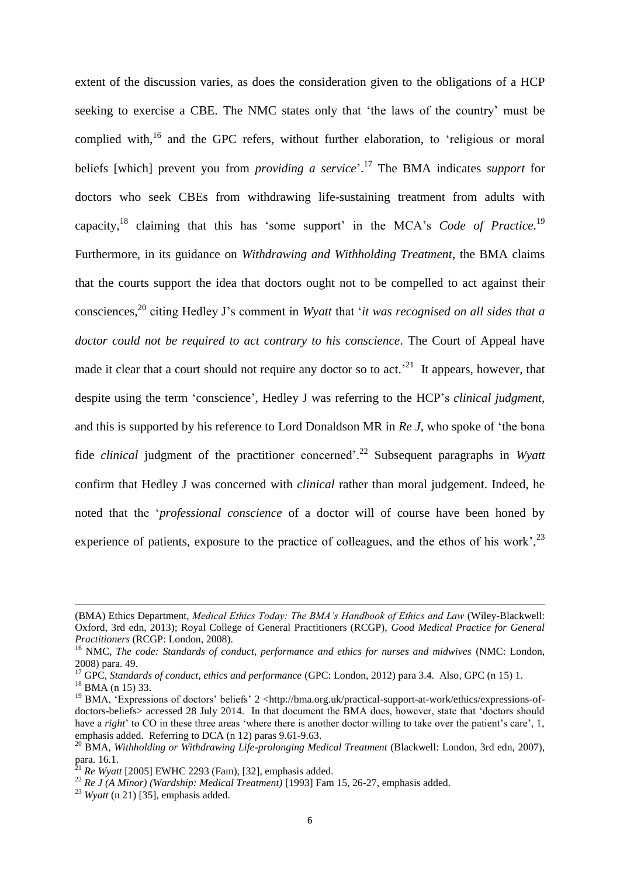extent of the discussion varies, as does the consideration given to the obligations of a HCP seeking to exercise a CBE. The NMC states only that "the laws of the country" must be complied with,<sup>16</sup> and the GPC refers, without further elaboration, to 'religious or moral beliefs [which] prevent you from *providing a service*<sup>'17</sup> The BMA indicates *support* for doctors who seek CBEs from withdrawing life-sustaining treatment from adults with capacity,<sup>18</sup> claiming that this has 'some support' in the MCA's *Code of Practice*.<sup>19</sup> Furthermore, in its guidance on *Withdrawing and Withholding Treatment*, the BMA claims that the courts support the idea that doctors ought not to be compelled to act against their consciences,<sup>20</sup> citing Hedley J"s comment in *Wyatt* that "*it was recognised on all sides that a doctor could not be required to act contrary to his conscience*. The Court of Appeal have made it clear that a court should not require any doctor so to act.<sup>21</sup> It appears, however, that despite using the term "conscience", Hedley J was referring to the HCP"s *clinical judgment*, and this is supported by his reference to Lord Donaldson MR in *Re J*, who spoke of "the bona fide *clinical* judgment of the practitioner concerned<sup>", 22</sup> Subsequent paragraphs in *Wyatt* confirm that Hedley J was concerned with *clinical* rather than moral judgement. Indeed, he noted that the "*professional conscience* of a doctor will of course have been honed by experience of patients, exposure to the practice of colleagues, and the ethos of his work',  $2<sup>3</sup>$ 

<sup>(</sup>BMA) Ethics Department, *Medical Ethics Today: The BMA"s Handbook of Ethics and Law* (Wiley-Blackwell: Oxford, 3rd edn, 2013); Royal College of General Practitioners (RCGP), *Good Medical Practice for General Practitioners* (RCGP: London, 2008).

<sup>&</sup>lt;sup>16</sup> NMC, *The code: Standards of conduct, performance and ethics for nurses and midwives* (NMC: London, 2008) para. 49.

<sup>&</sup>lt;sup>17</sup> GPC, *Standards of conduct, ethics and performance* (GPC: London, 2012) para 3.4. Also, GPC (n 15) 1.  $18$  BMA (n 15) 33.

<sup>&</sup>lt;sup>19</sup> BMA, 'Expressions of doctors' beliefs' 2 <http://bma.org.uk/practical-support-at-work/ethics/expressions-ofdoctors-beliefs> accessed 28 July 2014. In that document the BMA does, however, state that 'doctors should have a *right*' to CO in these three areas 'where there is another doctor willing to take over the patient's care', 1, emphasis added. Referring to DCA (n 12) paras 9.61-9.63.

<sup>&</sup>lt;sup>20</sup> BMA, *Withholding or Withdrawing Life-prolonging Medical Treatment* (Blackwell: London, 3rd edn, 2007), para. 16.1.

<sup>21</sup> *Re Wyatt* [2005] EWHC 2293 (Fam), [32], emphasis added.

<sup>22</sup> *Re J (A Minor) (Wardship: Medical Treatment)* [1993] Fam 15, 26-27, emphasis added.

<sup>&</sup>lt;sup>23</sup> *Wyatt* (n 21) [35], emphasis added.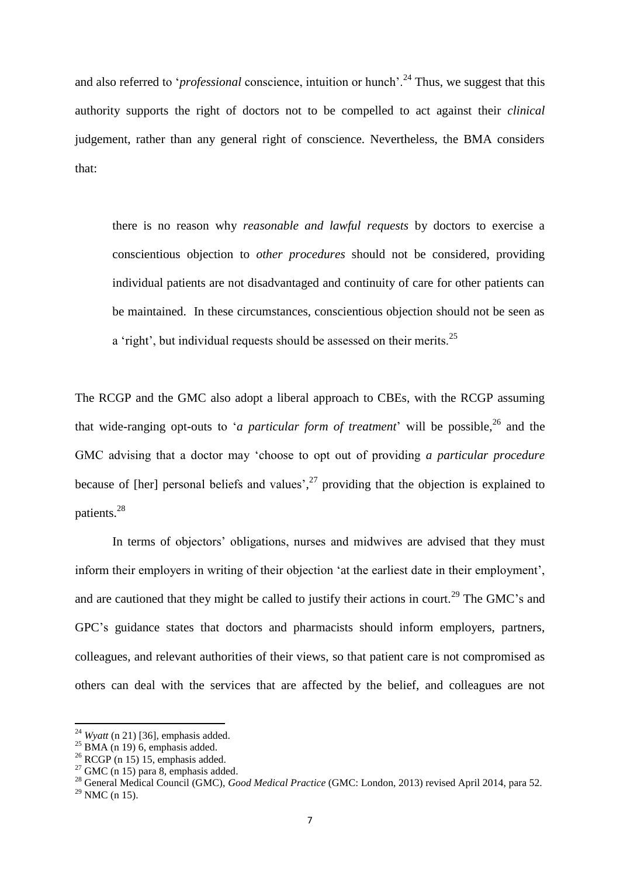and also referred to *'professional* conscience, intuition or hunch'.<sup>24</sup> Thus, we suggest that this authority supports the right of doctors not to be compelled to act against their *clinical* judgement, rather than any general right of conscience. Nevertheless, the BMA considers that:

there is no reason why *reasonable and lawful requests* by doctors to exercise a conscientious objection to *other procedures* should not be considered, providing individual patients are not disadvantaged and continuity of care for other patients can be maintained. In these circumstances, conscientious objection should not be seen as a 'right', but individual requests should be assessed on their merits.<sup>25</sup>

The RCGP and the GMC also adopt a liberal approach to CBEs, with the RCGP assuming that wide-ranging opt-outs to '*a particular form of treatment*' will be possible.<sup>26</sup> and the GMC advising that a doctor may "choose to opt out of providing *a particular procedure*  because of [her] personal beliefs and values', $^{27}$  providing that the objection is explained to patients.<sup>28</sup>

In terms of objectors' obligations, nurses and midwives are advised that they must inform their employers in writing of their objection "at the earliest date in their employment", and are cautioned that they might be called to justify their actions in court.<sup>29</sup> The GMC's and GPC"s guidance states that doctors and pharmacists should inform employers, partners, colleagues, and relevant authorities of their views, so that patient care is not compromised as others can deal with the services that are affected by the belief, and colleagues are not

1

 $24$  *Wyatt* (n 21) [36], emphasis added.

 $25$  BMA (n 19) 6, emphasis added.

 $26$  RCGP (n 15) 15, emphasis added.

<sup>&</sup>lt;sup>27</sup> GMC (n 15) para 8, emphasis added.

<sup>28</sup> General Medical Council (GMC), *Good Medical Practice* (GMC: London, 2013) revised April 2014, para 52.  $^{29}$  NMC (n 15).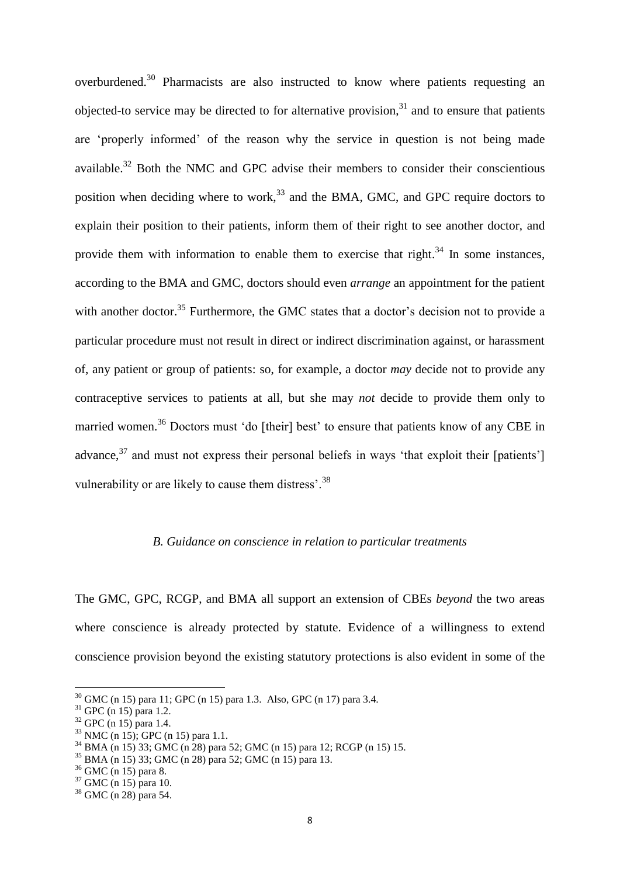overburdened.<sup>30</sup> Pharmacists are also instructed to know where patients requesting an objected-to service may be directed to for alternative provision,  $31$  and to ensure that patients are "properly informed" of the reason why the service in question is not being made available.<sup>32</sup> Both the NMC and GPC advise their members to consider their conscientious position when deciding where to work,<sup>33</sup> and the BMA, GMC, and GPC require doctors to explain their position to their patients, inform them of their right to see another doctor, and provide them with information to enable them to exercise that right.<sup>34</sup> In some instances, according to the BMA and GMC, doctors should even *arrange* an appointment for the patient with another doctor.<sup>35</sup> Furthermore, the GMC states that a doctor's decision not to provide a particular procedure must not result in direct or indirect discrimination against, or harassment of, any patient or group of patients: so, for example, a doctor *may* decide not to provide any contraceptive services to patients at all, but she may *not* decide to provide them only to married women.<sup>36</sup> Doctors must 'do [their] best' to ensure that patients know of any CBE in advance, $37$  and must not express their personal beliefs in ways 'that exploit their [patients'] vulnerability or are likely to cause them distress'.<sup>38</sup>

## *B. Guidance on conscience in relation to particular treatments*

The GMC, GPC, RCGP, and BMA all support an extension of CBEs *beyond* the two areas where conscience is already protected by statute. Evidence of a willingness to extend conscience provision beyond the existing statutory protections is also evident in some of the

 $\overline{\phantom{a}}$ 

 $30$  GMC (n 15) para 11; GPC (n 15) para 1.3. Also, GPC (n 17) para 3.4.

 $31$  GPC (n 15) para 1.2.

 $32$  GPC (n 15) para 1.4.

 $33$  NMC (n 15); GPC (n 15) para 1.1.

 $34$  BMA (n 15) 33; GMC (n 28) para 52; GMC (n 15) para 12; RCGP (n 15) 15.

<sup>35</sup> BMA (n 15) 33; GMC (n 28) para 52; GMC (n 15) para 13.

<sup>&</sup>lt;sup>36</sup> GMC (n 15) para 8.

<sup>37</sup> GMC (n 15) para 10.

<sup>38</sup> GMC (n 28) para 54.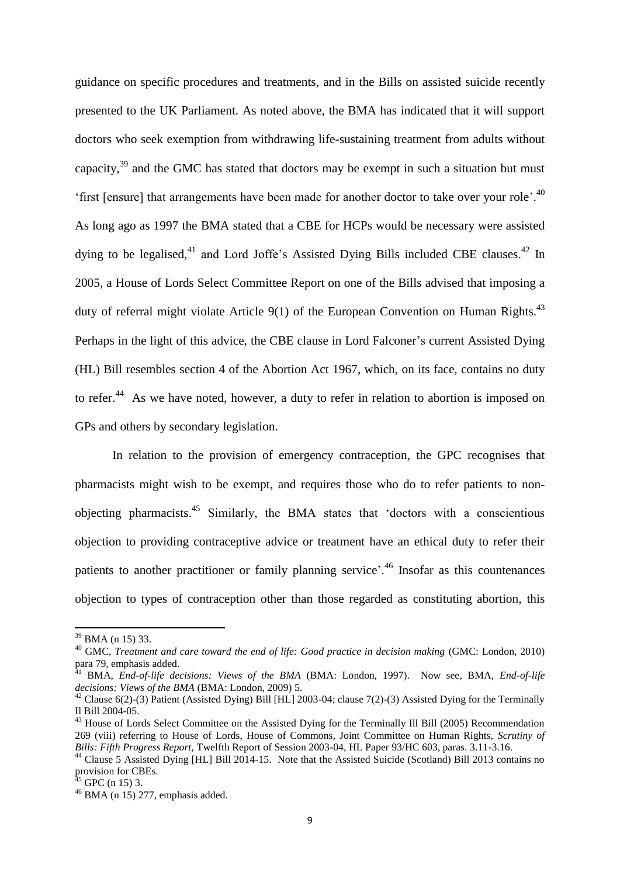guidance on specific procedures and treatments, and in the Bills on assisted suicide recently presented to the UK Parliament. As noted above, the BMA has indicated that it will support doctors who seek exemption from withdrawing life-sustaining treatment from adults without capacity, $39$  and the GMC has stated that doctors may be exempt in such a situation but must 'first [ensure] that arrangements have been made for another doctor to take over your role'.<sup>40</sup> As long ago as 1997 the BMA stated that a CBE for HCPs would be necessary were assisted dying to be legalised,  $41$  and Lord Joffe's Assisted Dying Bills included CBE clauses.  $42$  In 2005, a House of Lords Select Committee Report on one of the Bills advised that imposing a duty of referral might violate Article  $9(1)$  of the European Convention on Human Rights.<sup>43</sup> Perhaps in the light of this advice, the CBE clause in Lord Falconer's current Assisted Dying (HL) Bill resembles section 4 of the Abortion Act 1967, which, on its face, contains no duty to refer.<sup>44</sup> As we have noted, however, a duty to refer in relation to abortion is imposed on GPs and others by secondary legislation.

In relation to the provision of emergency contraception, the GPC recognises that pharmacists might wish to be exempt, and requires those who do to refer patients to nonobjecting pharmacists.<sup>45</sup> Similarly, the BMA states that "doctors with a conscientious objection to providing contraceptive advice or treatment have an ethical duty to refer their patients to another practitioner or family planning service'.<sup>46</sup> Insofar as this countenances objection to types of contraception other than those regarded as constituting abortion, this

 $39$  BMA (n 15) 33.

<sup>40</sup> GMC, *Treatment and care toward the end of life: Good practice in decision making* (GMC: London, 2010) para 79, emphasis added.

<sup>41</sup> BMA, *End-of-life decisions: Views of the BMA* (BMA: London, 1997). Now see, BMA, *End-of-life decisions: Views of the BMA* (BMA: London, 2009) 5.

<sup>&</sup>lt;sup>42</sup> Clause 6(2)-(3) Patient (Assisted Dying) Bill [HL] 2003-04; clause 7(2)-(3) Assisted Dying for the Terminally Il Bill 2004-05.

<sup>&</sup>lt;sup>43</sup> House of Lords Select Committee on the Assisted Dying for the Terminally Ill Bill (2005) Recommendation 269 (viii) referring to House of Lords, House of Commons, Joint Committee on Human Rights, *Scrutiny of Bills: Fifth Progress Report*, Twelfth Report of Session 2003-04, HL Paper 93/HC 603, paras. 3.11-3.16.

<sup>&</sup>lt;sup>44</sup> Clause 5 Assisted Dying [HL] Bill 2014-15. Note that the Assisted Suicide (Scotland) Bill 2013 contains no provision for CBEs.

 $45$  GPC (n 15) 3.

 $46$  BMA (n 15) 277, emphasis added.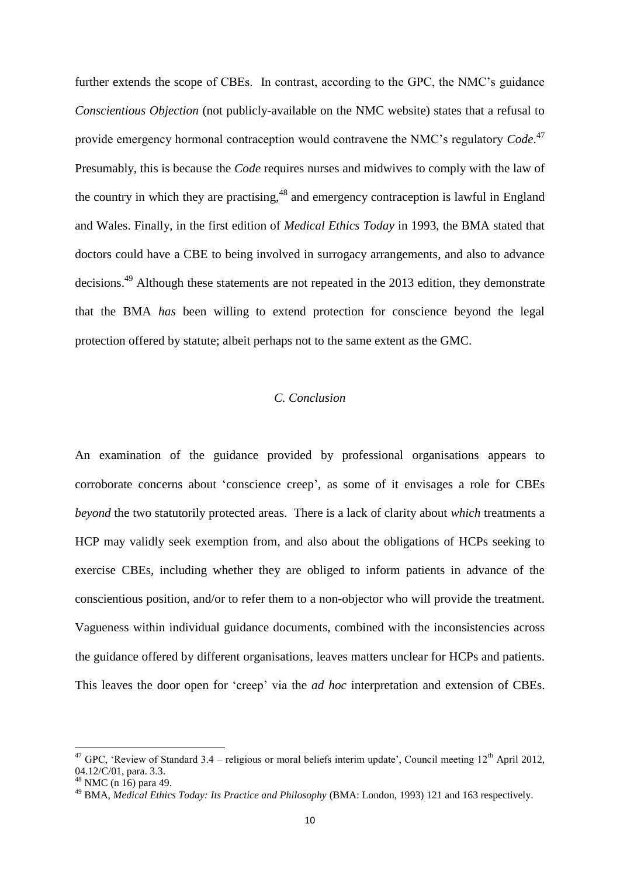further extends the scope of CBEs. In contrast, according to the GPC, the NMC"s guidance *Conscientious Objection* (not publicly-available on the NMC website) states that a refusal to provide emergency hormonal contraception would contravene the NMC's regulatory *Code*.<sup>47</sup> Presumably, this is because the *Code* requires nurses and midwives to comply with the law of the country in which they are practising, $48$  and emergency contraception is lawful in England and Wales. Finally, in the first edition of *Medical Ethics Today* in 1993, the BMA stated that doctors could have a CBE to being involved in surrogacy arrangements, and also to advance decisions.<sup>49</sup> Although these statements are not repeated in the 2013 edition, they demonstrate that the BMA *has* been willing to extend protection for conscience beyond the legal protection offered by statute; albeit perhaps not to the same extent as the GMC.

# *C. Conclusion*

An examination of the guidance provided by professional organisations appears to corroborate concerns about "conscience creep", as some of it envisages a role for CBEs *beyond* the two statutorily protected areas. There is a lack of clarity about *which* treatments a HCP may validly seek exemption from, and also about the obligations of HCPs seeking to exercise CBEs, including whether they are obliged to inform patients in advance of the conscientious position, and/or to refer them to a non-objector who will provide the treatment. Vagueness within individual guidance documents, combined with the inconsistencies across the guidance offered by different organisations, leaves matters unclear for HCPs and patients. This leaves the door open for "creep" via the *ad hoc* interpretation and extension of CBEs.

<sup>&</sup>lt;sup>47</sup> GPC, 'Review of Standard 3.4 – religious or moral beliefs interim update', Council meeting  $12<sup>th</sup>$  April 2012, 04.12/C/01, para. 3.3.

 $48$  NMC (n 16) para 49.

<sup>49</sup> BMA, *Medical Ethics Today: Its Practice and Philosophy* (BMA: London, 1993) 121 and 163 respectively.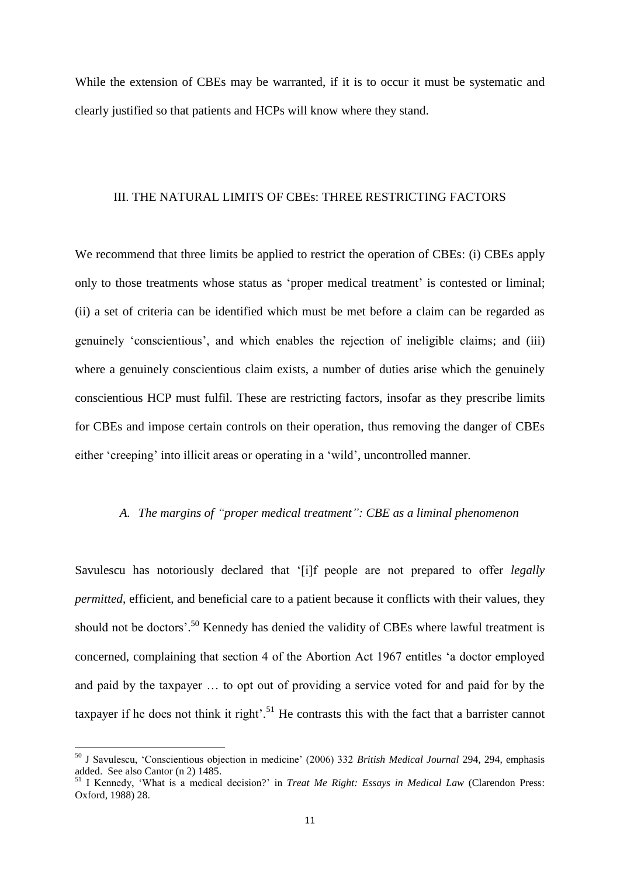While the extension of CBEs may be warranted, if it is to occur it must be systematic and clearly justified so that patients and HCPs will know where they stand.

#### III. THE NATURAL LIMITS OF CBEs: THREE RESTRICTING FACTORS

We recommend that three limits be applied to restrict the operation of CBEs: (i) CBEs apply only to those treatments whose status as "proper medical treatment" is contested or liminal; (ii) a set of criteria can be identified which must be met before a claim can be regarded as genuinely "conscientious", and which enables the rejection of ineligible claims; and (iii) where a genuinely conscientious claim exists, a number of duties arise which the genuinely conscientious HCP must fulfil. These are restricting factors, insofar as they prescribe limits for CBEs and impose certain controls on their operation, thus removing the danger of CBEs either 'creeping' into illicit areas or operating in a 'wild', uncontrolled manner.

## *A. The margins of "proper medical treatment": CBE as a liminal phenomenon*

Savulescu has notoriously declared that "[i]f people are not prepared to offer *legally permitted*, efficient, and beneficial care to a patient because it conflicts with their values, they should not be doctors'.<sup>50</sup> Kennedy has denied the validity of CBEs where lawful treatment is concerned, complaining that section 4 of the Abortion Act 1967 entitles "a doctor employed and paid by the taxpayer … to opt out of providing a service voted for and paid for by the taxpayer if he does not think it right'.<sup>51</sup> He contrasts this with the fact that a barrister cannot

<sup>50</sup> J Savulescu, "Conscientious objection in medicine" (2006) 332 *British Medical Journal* 294, 294, emphasis added. See also Cantor (n 2) 1485.

<sup>51</sup> I Kennedy, "What is a medical decision?" in *Treat Me Right: Essays in Medical Law* (Clarendon Press: Oxford, 1988) 28.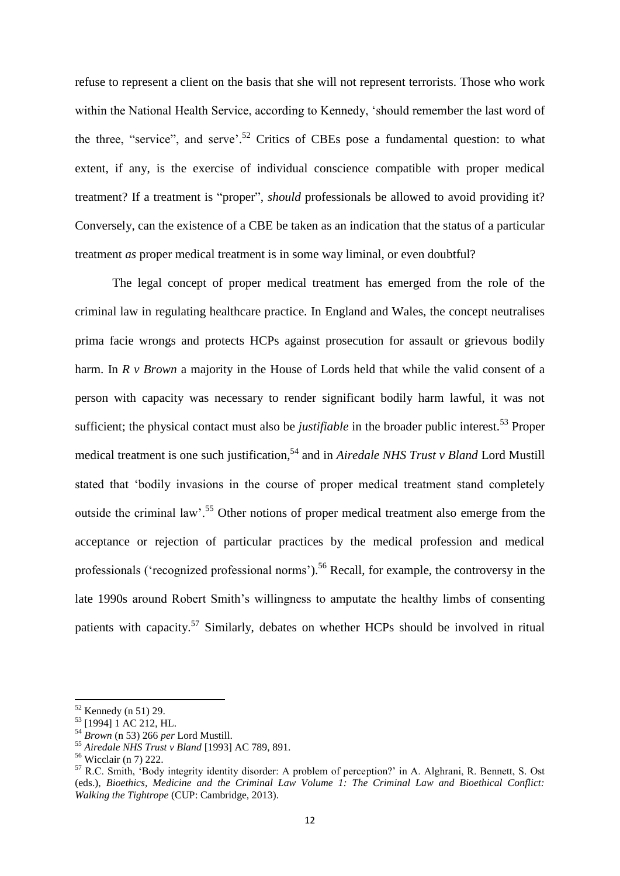refuse to represent a client on the basis that she will not represent terrorists. Those who work within the National Health Service, according to Kennedy, "should remember the last word of the three, "service", and serve'.<sup>52</sup> Critics of CBEs pose a fundamental question: to what extent, if any, is the exercise of individual conscience compatible with proper medical treatment? If a treatment is "proper", *should* professionals be allowed to avoid providing it? Conversely, can the existence of a CBE be taken as an indication that the status of a particular treatment *as* proper medical treatment is in some way liminal, or even doubtful?

The legal concept of proper medical treatment has emerged from the role of the criminal law in regulating healthcare practice. In England and Wales, the concept neutralises prima facie wrongs and protects HCPs against prosecution for assault or grievous bodily harm. In *R v Brown* a majority in the House of Lords held that while the valid consent of a person with capacity was necessary to render significant bodily harm lawful, it was not sufficient; the physical contact must also be *justifiable* in the broader public interest.<sup>53</sup> Proper medical treatment is one such justification, <sup>54</sup> and in *Airedale NHS Trust v Bland* Lord Mustill stated that "bodily invasions in the course of proper medical treatment stand completely outside the criminal law'.<sup>55</sup> Other notions of proper medical treatment also emerge from the acceptance or rejection of particular practices by the medical profession and medical professionals ('recognized professional norms').<sup>56</sup> Recall, for example, the controversy in the late 1990s around Robert Smith"s willingness to amputate the healthy limbs of consenting patients with capacity.<sup>57</sup> Similarly, debates on whether HCPs should be involved in ritual

 $52$  Kennedy (n 51) 29.

<sup>53</sup> [1994] 1 AC 212, HL.

<sup>54</sup> *Brown* (n 53) 266 *per* Lord Mustill.

<sup>55</sup> *Airedale NHS Trust v Bland* [1993] AC 789, 891.

<sup>56</sup> Wicclair (n 7) 222.

<sup>&</sup>lt;sup>57</sup> R.C. Smith, 'Body integrity identity disorder: A problem of perception?' in A. Alghrani, R. Bennett, S. Ost (eds.), *Bioethics, Medicine and the Criminal Law Volume 1: The Criminal Law and Bioethical Conflict: Walking the Tightrope* (CUP: Cambridge, 2013).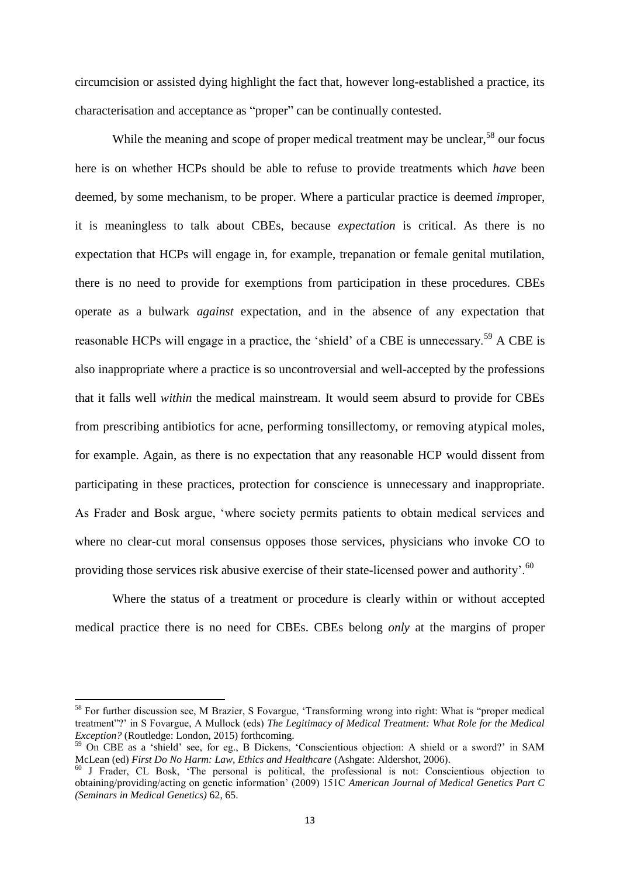circumcision or assisted dying highlight the fact that, however long-established a practice, its characterisation and acceptance as "proper" can be continually contested.

While the meaning and scope of proper medical treatment may be unclear,<sup>58</sup> our focus here is on whether HCPs should be able to refuse to provide treatments which *have* been deemed, by some mechanism, to be proper. Where a particular practice is deemed *im*proper, it is meaningless to talk about CBEs, because *expectation* is critical. As there is no expectation that HCPs will engage in, for example, trepanation or female genital mutilation, there is no need to provide for exemptions from participation in these procedures. CBEs operate as a bulwark *against* expectation, and in the absence of any expectation that reasonable HCPs will engage in a practice, the 'shield' of a CBE is unnecessary.<sup>59</sup> A CBE is also inappropriate where a practice is so uncontroversial and well-accepted by the professions that it falls well *within* the medical mainstream. It would seem absurd to provide for CBEs from prescribing antibiotics for acne, performing tonsillectomy, or removing atypical moles, for example. Again, as there is no expectation that any reasonable HCP would dissent from participating in these practices, protection for conscience is unnecessary and inappropriate. As Frader and Bosk argue, "where society permits patients to obtain medical services and where no clear-cut moral consensus opposes those services, physicians who invoke CO to providing those services risk abusive exercise of their state-licensed power and authority'.<sup>60</sup>

Where the status of a treatment or procedure is clearly within or without accepted medical practice there is no need for CBEs. CBEs belong *only* at the margins of proper

<sup>58</sup> For further discussion see, M Brazier, S Fovargue, "Transforming wrong into right: What is "proper medical treatment"?" in S Fovargue, A Mullock (eds) *The Legitimacy of Medical Treatment: What Role for the Medical Exception?* (Routledge: London, 2015) forthcoming.

 $59$  On CBE as a 'shield' see, for eg., B Dickens, 'Conscientious objection: A shield or a sword?' in SAM McLean (ed) *First Do No Harm: Law, Ethics and Healthcare* (Ashgate: Aldershot, 2006).

<sup>60</sup> J Frader, CL Bosk, "The personal is political, the professional is not: Conscientious objection to obtaining/providing/acting on genetic information" (2009) 151C *American Journal of Medical Genetics Part C (Seminars in Medical Genetics)* 62, 65.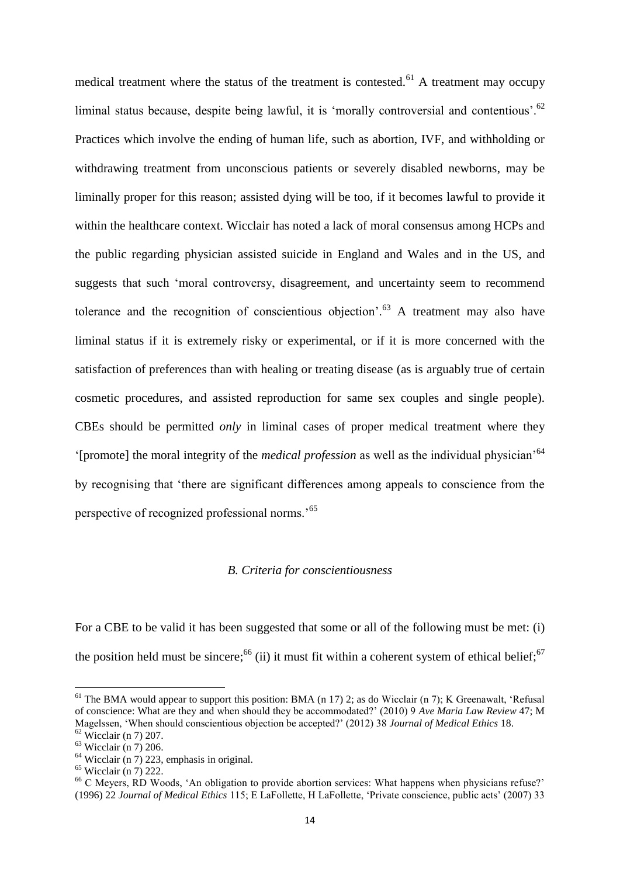medical treatment where the status of the treatment is contested.<sup>61</sup> A treatment may occupy liminal status because, despite being lawful, it is 'morally controversial and contentious'. $62$ Practices which involve the ending of human life, such as abortion, IVF, and withholding or withdrawing treatment from unconscious patients or severely disabled newborns, may be liminally proper for this reason; assisted dying will be too, if it becomes lawful to provide it within the healthcare context. Wicclair has noted a lack of moral consensus among HCPs and the public regarding physician assisted suicide in England and Wales and in the US, and suggests that such "moral controversy, disagreement, and uncertainty seem to recommend tolerance and the recognition of conscientious objection'.<sup>63</sup> A treatment may also have liminal status if it is extremely risky or experimental, or if it is more concerned with the satisfaction of preferences than with healing or treating disease (as is arguably true of certain cosmetic procedures, and assisted reproduction for same sex couples and single people). CBEs should be permitted *only* in liminal cases of proper medical treatment where they "[promote] the moral integrity of the *medical profession* as well as the individual physician"<sup>64</sup> by recognising that "there are significant differences among appeals to conscience from the perspective of recognized professional norms."<sup>65</sup>

### *B. Criteria for conscientiousness*

For a CBE to be valid it has been suggested that some or all of the following must be met: (i) the position held must be sincere;  $66$  (ii) it must fit within a coherent system of ethical belief;  $67$ 

 $\overline{\phantom{a}}$ 

<sup>&</sup>lt;sup>61</sup> The BMA would appear to support this position: BMA (n 17) 2; as do Wicclair (n 7); K Greenawalt, 'Refusal of conscience: What are they and when should they be accommodated?" (2010) 9 *Ave Maria Law Review* 47; M Magelssen, "When should conscientious objection be accepted?" (2012) 38 *Journal of Medical Ethics* 18.

 $62$  Wicclair (n 7) 207. <sup>63</sup> Wicclair (n 7) 206.

 $64$  Wicclair (n 7) 223, emphasis in original.

 $65$  Wicclair (n 7) 222.

<sup>&</sup>lt;sup>66</sup> C Meyers, RD Woods, 'An obligation to provide abortion services: What happens when physicians refuse?' (1996) 22 *Journal of Medical Ethics* 115; E LaFollette, H LaFollette, "Private conscience, public acts" (2007) 33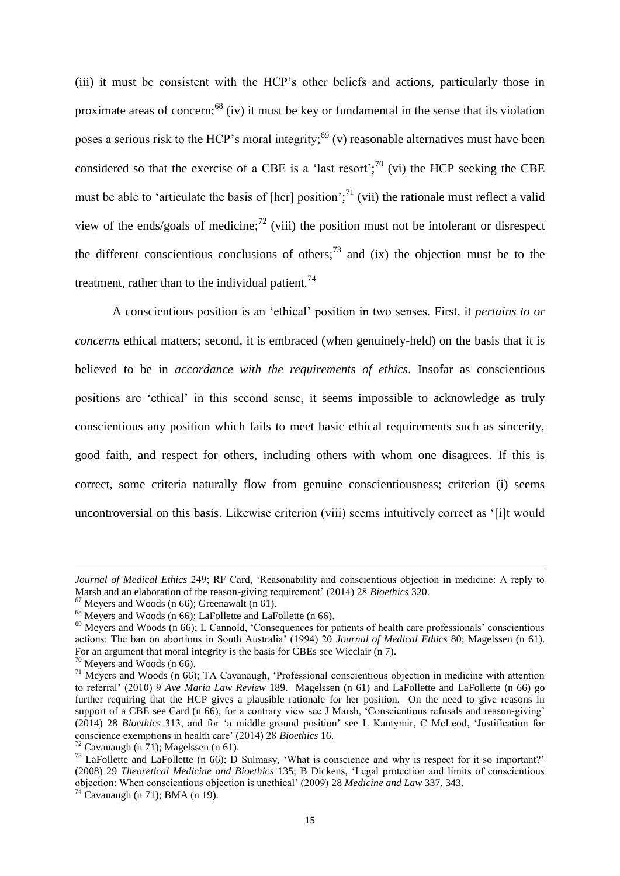(iii) it must be consistent with the HCP"s other beliefs and actions, particularly those in proximate areas of concern;<sup>68</sup> (iv) it must be key or fundamental in the sense that its violation poses a serious risk to the HCP's moral integrity;  $^{69}$  (v) reasonable alternatives must have been considered so that the exercise of a CBE is a 'last resort';<sup>70</sup> (vi) the HCP seeking the CBE must be able to 'articulate the basis of [her] position';<sup>71</sup> (vii) the rationale must reflect a valid view of the ends/goals of medicine;<sup>72</sup> (viii) the position must not be intolerant or disrespect the different conscientious conclusions of others;<sup>73</sup> and (ix) the objection must be to the treatment, rather than to the individual patient.<sup>74</sup>

A conscientious position is an "ethical" position in two senses. First, it *pertains to or concerns* ethical matters; second, it is embraced (when genuinely-held) on the basis that it is believed to be in *accordance with the requirements of ethics*. Insofar as conscientious positions are "ethical" in this second sense, it seems impossible to acknowledge as truly conscientious any position which fails to meet basic ethical requirements such as sincerity, good faith, and respect for others, including others with whom one disagrees. If this is correct, some criteria naturally flow from genuine conscientiousness; criterion (i) seems uncontroversial on this basis. Likewise criterion (viii) seems intuitively correct as "[i]t would

1

*Journal of Medical Ethics* 249; RF Card, "Reasonability and conscientious objection in medicine: A reply to Marsh and an elaboration of the reason-giving requirement" (2014) 28 *Bioethics* 320.

 $67$  Meyers and Woods (n 66); Greenawalt (n 61).

<sup>&</sup>lt;sup>68</sup> Meyers and Woods (n 66); LaFollette and LaFollette (n 66).

<sup>&</sup>lt;sup>69</sup> Meyers and Woods (n 66); L Cannold, 'Consequences for patients of health care professionals' conscientious actions: The ban on abortions in South Australia" (1994) 20 *Journal of Medical Ethics* 80; Magelssen (n 61). For an argument that moral integrity is the basis for CBEs see Wicclair (n 7).

 $70$  Meyers and Woods (n 66).

 $71$  Meyers and Woods (n 66); TA Cavanaugh, 'Professional conscientious objection in medicine with attention to referral" (2010) 9 *Ave Maria Law Review* 189. Magelssen (n 61) and LaFollette and LaFollette (n 66) go further requiring that the HCP gives a plausible rationale for her position. On the need to give reasons in support of a CBE see Card (n 66), for a contrary view see J Marsh, 'Conscientious refusals and reason-giving' (2014) 28 *Bioethics* 313, and for "a middle ground position" see L Kantymir, C McLeod, "Justification for conscience exemptions in health care" (2014) 28 *Bioethics* 16.

 $72$  Cavanaugh (n 71); Magelssen (n 61).

<sup>&</sup>lt;sup>73</sup> LaFollette and LaFollette (n 66); D Sulmasy, 'What is conscience and why is respect for it so important?' (2008) 29 *Theoretical Medicine and Bioethics* 135; B Dickens, "Legal protection and limits of conscientious objection: When conscientious objection is unethical" (2009) 28 *Medicine and Law* 337, 343.

 $74$  Cavanaugh (n 71); BMA (n 19).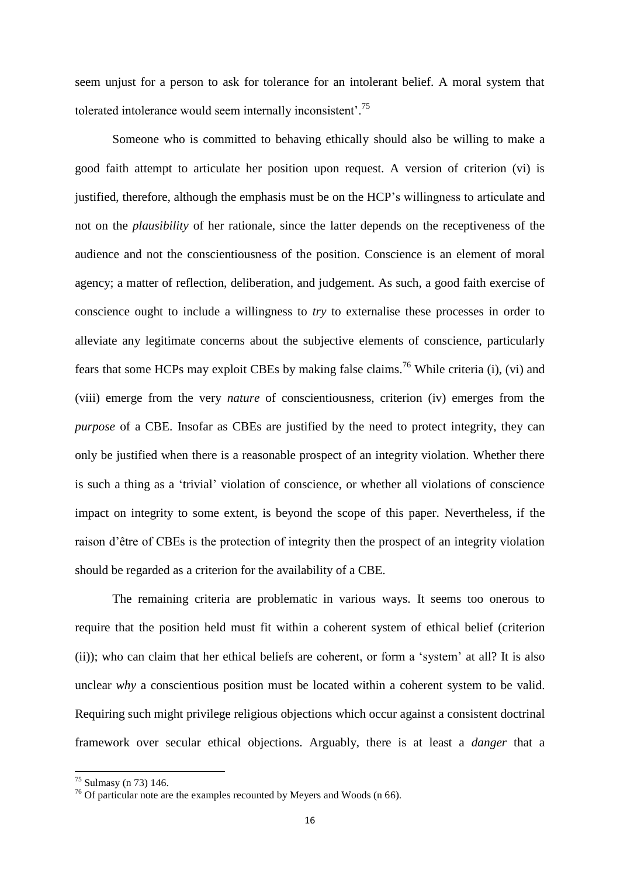seem unjust for a person to ask for tolerance for an intolerant belief. A moral system that tolerated intolerance would seem internally inconsistent'.<sup>75</sup>

Someone who is committed to behaving ethically should also be willing to make a good faith attempt to articulate her position upon request. A version of criterion (vi) is justified, therefore, although the emphasis must be on the HCP"s willingness to articulate and not on the *plausibility* of her rationale, since the latter depends on the receptiveness of the audience and not the conscientiousness of the position. Conscience is an element of moral agency; a matter of reflection, deliberation, and judgement. As such, a good faith exercise of conscience ought to include a willingness to *try* to externalise these processes in order to alleviate any legitimate concerns about the subjective elements of conscience, particularly fears that some HCPs may exploit CBEs by making false claims.<sup>76</sup> While criteria (i), (vi) and (viii) emerge from the very *nature* of conscientiousness, criterion (iv) emerges from the *purpose* of a CBE. Insofar as CBEs are justified by the need to protect integrity, they can only be justified when there is a reasonable prospect of an integrity violation. Whether there is such a thing as a "trivial" violation of conscience, or whether all violations of conscience impact on integrity to some extent, is beyond the scope of this paper. Nevertheless, if the raison d"être of CBEs is the protection of integrity then the prospect of an integrity violation should be regarded as a criterion for the availability of a CBE.

The remaining criteria are problematic in various ways. It seems too onerous to require that the position held must fit within a coherent system of ethical belief (criterion (ii)); who can claim that her ethical beliefs are coherent, or form a 'system' at all? It is also unclear *why* a conscientious position must be located within a coherent system to be valid. Requiring such might privilege religious objections which occur against a consistent doctrinal framework over secular ethical objections. Arguably, there is at least a *danger* that a

 $75$  Sulmasy (n 73) 146.

 $76$  Of particular note are the examples recounted by Meyers and Woods (n 66).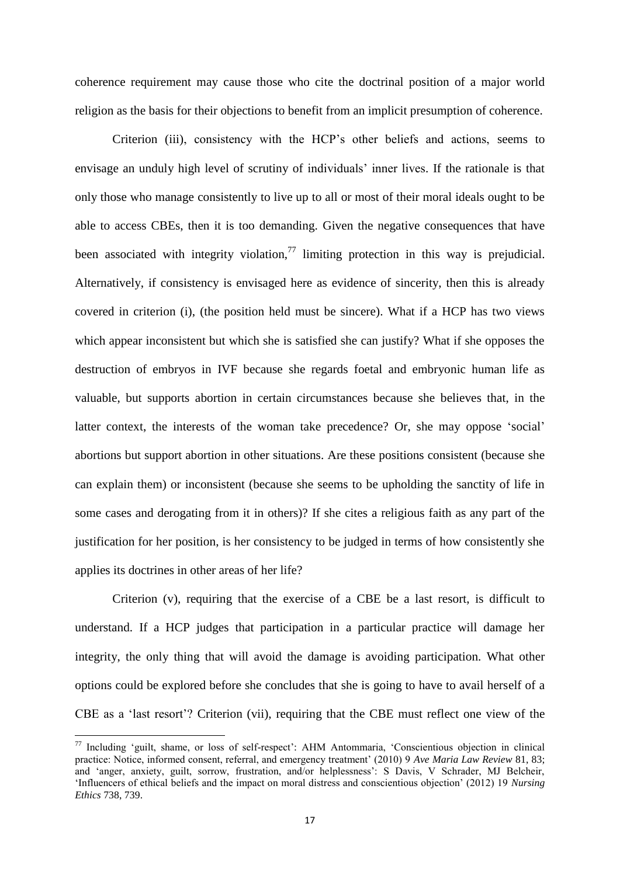coherence requirement may cause those who cite the doctrinal position of a major world religion as the basis for their objections to benefit from an implicit presumption of coherence.

Criterion (iii), consistency with the HCP"s other beliefs and actions, seems to envisage an unduly high level of scrutiny of individuals" inner lives. If the rationale is that only those who manage consistently to live up to all or most of their moral ideals ought to be able to access CBEs, then it is too demanding. Given the negative consequences that have been associated with integrity violation,  $7\overline{7}$  limiting protection in this way is prejudicial. Alternatively, if consistency is envisaged here as evidence of sincerity, then this is already covered in criterion (i), (the position held must be sincere). What if a HCP has two views which appear inconsistent but which she is satisfied she can justify? What if she opposes the destruction of embryos in IVF because she regards foetal and embryonic human life as valuable, but supports abortion in certain circumstances because she believes that, in the latter context, the interests of the woman take precedence? Or, she may oppose 'social' abortions but support abortion in other situations. Are these positions consistent (because she can explain them) or inconsistent (because she seems to be upholding the sanctity of life in some cases and derogating from it in others)? If she cites a religious faith as any part of the justification for her position, is her consistency to be judged in terms of how consistently she applies its doctrines in other areas of her life?

Criterion (v), requiring that the exercise of a CBE be a last resort, is difficult to understand. If a HCP judges that participation in a particular practice will damage her integrity, the only thing that will avoid the damage is avoiding participation. What other options could be explored before she concludes that she is going to have to avail herself of a CBE as a "last resort"? Criterion (vii), requiring that the CBE must reflect one view of the

<sup>&</sup>lt;sup>77</sup> Including 'guilt, shame, or loss of self-respect': AHM Antommaria, 'Conscientious objection in clinical practice: Notice, informed consent, referral, and emergency treatment" (2010) 9 *Ave Maria Law Review* 81, 83; and 'anger, anxiety, guilt, sorrow, frustration, and/or helplessness': S Davis, V Schrader, MJ Belcheir, "Influencers of ethical beliefs and the impact on moral distress and conscientious objection" (2012) 19 *Nursing Ethics* 738, 739.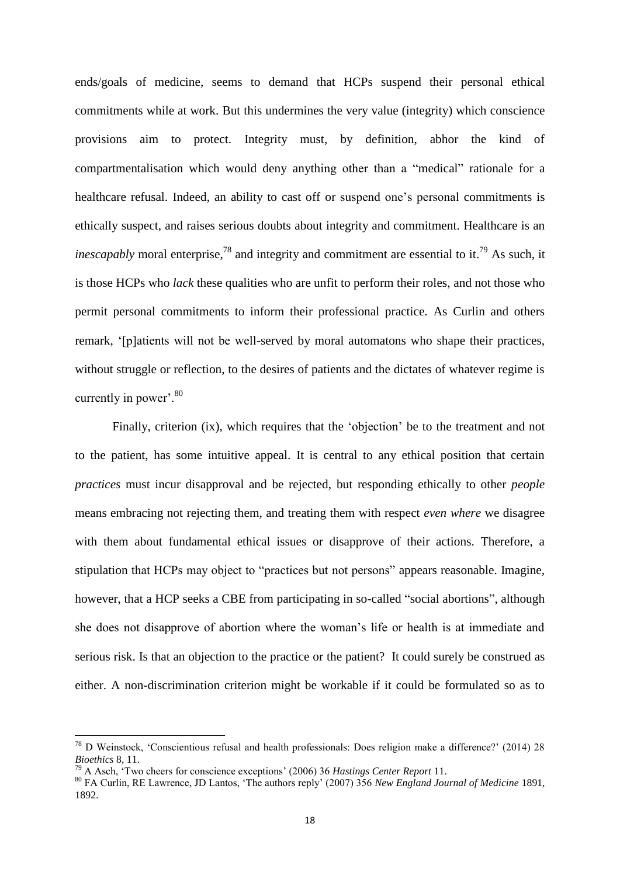ends/goals of medicine, seems to demand that HCPs suspend their personal ethical commitments while at work. But this undermines the very value (integrity) which conscience provisions aim to protect. Integrity must, by definition, abhor the kind of compartmentalisation which would deny anything other than a "medical" rationale for a healthcare refusal. Indeed, an ability to cast off or suspend one"s personal commitments is ethically suspect, and raises serious doubts about integrity and commitment. Healthcare is an *inescapably* moral enterprise,<sup>78</sup> and integrity and commitment are essential to it.<sup>79</sup> As such, it is those HCPs who *lack* these qualities who are unfit to perform their roles, and not those who permit personal commitments to inform their professional practice. As Curlin and others remark, "[p]atients will not be well-served by moral automatons who shape their practices, without struggle or reflection, to the desires of patients and the dictates of whatever regime is currently in power'.<sup>80</sup>

Finally, criterion (ix), which requires that the 'objection' be to the treatment and not to the patient, has some intuitive appeal. It is central to any ethical position that certain *practices* must incur disapproval and be rejected, but responding ethically to other *people* means embracing not rejecting them, and treating them with respect *even where* we disagree with them about fundamental ethical issues or disapprove of their actions. Therefore, a stipulation that HCPs may object to "practices but not persons" appears reasonable. Imagine, however, that a HCP seeks a CBE from participating in so-called "social abortions", although she does not disapprove of abortion where the woman"s life or health is at immediate and serious risk. Is that an objection to the practice or the patient? It could surely be construed as either. A non-discrimination criterion might be workable if it could be formulated so as to

 $78$  D Weinstock, 'Conscientious refusal and health professionals: Does religion make a difference?' (2014) 28 *Bioethics* 8, 11.

<sup>79</sup> A Asch, "Two cheers for conscience exceptions" (2006) 36 *Hastings Center Report* 11.

<sup>80</sup> FA Curlin, RE Lawrence, JD Lantos, "The authors reply" (2007) 356 *New England Journal of Medicine* 1891, 1892.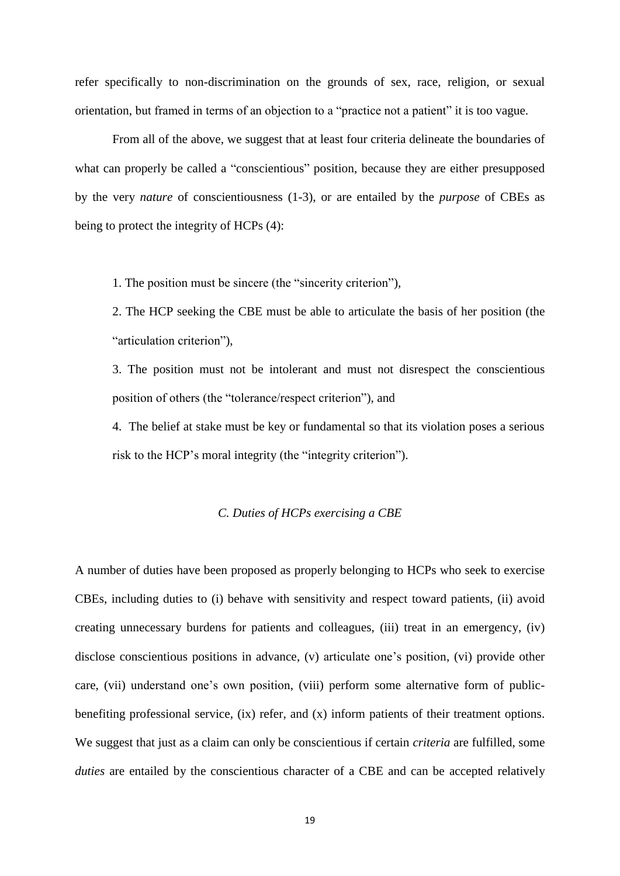refer specifically to non-discrimination on the grounds of sex, race, religion, or sexual orientation, but framed in terms of an objection to a "practice not a patient" it is too vague.

From all of the above, we suggest that at least four criteria delineate the boundaries of what can properly be called a "conscientious" position, because they are either presupposed by the very *nature* of conscientiousness (1-3), or are entailed by the *purpose* of CBEs as being to protect the integrity of HCPs (4):

1. The position must be sincere (the "sincerity criterion"),

2. The HCP seeking the CBE must be able to articulate the basis of her position (the "articulation criterion"),

3. The position must not be intolerant and must not disrespect the conscientious position of others (the "tolerance/respect criterion"), and

4. The belief at stake must be key or fundamental so that its violation poses a serious risk to the HCP"s moral integrity (the "integrity criterion").

#### *C. Duties of HCPs exercising a CBE*

A number of duties have been proposed as properly belonging to HCPs who seek to exercise CBEs, including duties to (i) behave with sensitivity and respect toward patients, (ii) avoid creating unnecessary burdens for patients and colleagues, (iii) treat in an emergency, (iv) disclose conscientious positions in advance, (v) articulate one"s position, (vi) provide other care, (vii) understand one"s own position, (viii) perform some alternative form of publicbenefiting professional service, (ix) refer, and (x) inform patients of their treatment options. We suggest that just as a claim can only be conscientious if certain *criteria* are fulfilled, some *duties* are entailed by the conscientious character of a CBE and can be accepted relatively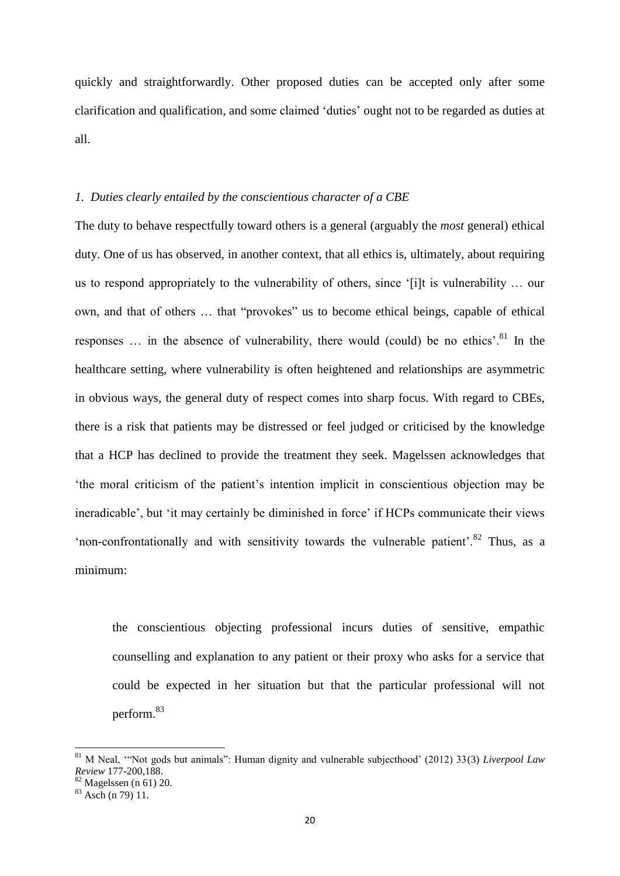quickly and straightforwardly. Other proposed duties can be accepted only after some clarification and qualification, and some claimed "duties" ought not to be regarded as duties at all.

# *1. Duties clearly entailed by the conscientious character of a CBE*

The duty to behave respectfully toward others is a general (arguably the *most* general) ethical duty. One of us has observed, in another context, that all ethics is, ultimately, about requiring us to respond appropriately to the vulnerability of others, since "[i]t is vulnerability … our own, and that of others … that "provokes" us to become ethical beings, capable of ethical responses  $\ldots$  in the absence of vulnerability, there would (could) be no ethics<sup> $\frac{81}{10}$ </sup> In the healthcare setting, where vulnerability is often heightened and relationships are asymmetric in obvious ways, the general duty of respect comes into sharp focus. With regard to CBEs, there is a risk that patients may be distressed or feel judged or criticised by the knowledge that a HCP has declined to provide the treatment they seek. Magelssen acknowledges that "the moral criticism of the patient"s intention implicit in conscientious objection may be ineradicable', but 'it may certainly be diminished in force' if HCPs communicate their views 'non-confrontationally and with sensitivity towards the vulnerable patient'. $82$  Thus, as a minimum:

the conscientious objecting professional incurs duties of sensitive, empathic counselling and explanation to any patient or their proxy who asks for a service that could be expected in her situation but that the particular professional will not perform.<sup>83</sup>

<sup>81</sup> M Neal, ""Not gods but animals": Human dignity and vulnerable subjecthood" (2012) 33(3) *Liverpool Law Review* 177-200,188.

 $82$  Magelssen (n 61) 20.

 $83$  Asch (n 79) 11.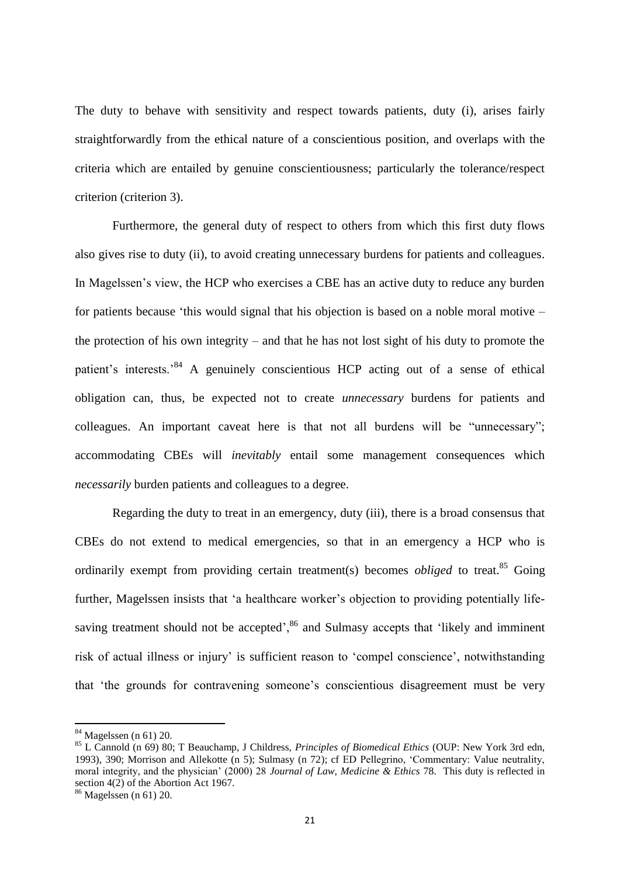The duty to behave with sensitivity and respect towards patients, duty (i), arises fairly straightforwardly from the ethical nature of a conscientious position, and overlaps with the criteria which are entailed by genuine conscientiousness; particularly the tolerance/respect criterion (criterion 3).

Furthermore, the general duty of respect to others from which this first duty flows also gives rise to duty (ii), to avoid creating unnecessary burdens for patients and colleagues. In Magelssen's view, the HCP who exercises a CBE has an active duty to reduce any burden for patients because "this would signal that his objection is based on a noble moral motive – the protection of his own integrity – and that he has not lost sight of his duty to promote the patient's interests.<sup>84</sup> A genuinely conscientious HCP acting out of a sense of ethical obligation can, thus, be expected not to create *unnecessary* burdens for patients and colleagues. An important caveat here is that not all burdens will be "unnecessary"; accommodating CBEs will *inevitably* entail some management consequences which *necessarily* burden patients and colleagues to a degree.

Regarding the duty to treat in an emergency, duty (iii), there is a broad consensus that CBEs do not extend to medical emergencies, so that in an emergency a HCP who is ordinarily exempt from providing certain treatment(s) becomes *obliged* to treat.<sup>85</sup> Going further, Magelssen insists that 'a healthcare worker's objection to providing potentially lifesaving treatment should not be accepted<sup> $36$ </sup> and Sulmasy accepts that 'likely and imminent risk of actual illness or injury' is sufficient reason to 'compel conscience', notwithstanding that "the grounds for contravening someone"s conscientious disagreement must be very

1

 $84$  Magelssen (n 61) 20.

<sup>85</sup> L Cannold (n 69) 80; T Beauchamp, J Childress, *Principles of Biomedical Ethics* (OUP: New York 3rd edn, 1993), 390; Morrison and Allekotte (n 5); Sulmasy (n 72); cf ED Pellegrino, "Commentary: Value neutrality, moral integrity, and the physician" (2000) 28 *Journal of Law, Medicine & Ethics* 78. This duty is reflected in section 4(2) of the Abortion Act 1967.

<sup>86</sup> Magelssen (n 61) 20.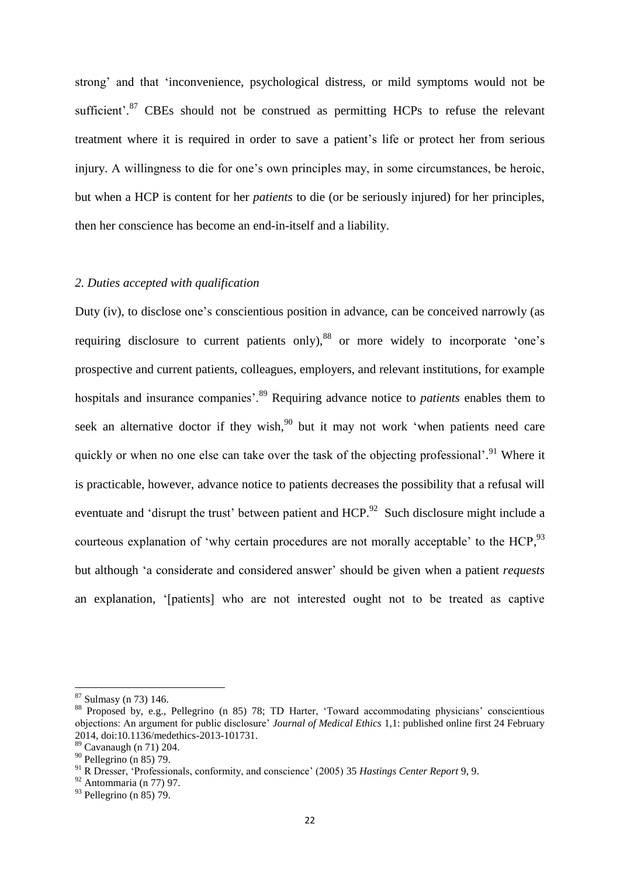strong" and that "inconvenience, psychological distress, or mild symptoms would not be sufficient'. $87$  CBEs should not be construed as permitting HCPs to refuse the relevant treatment where it is required in order to save a patient"s life or protect her from serious injury. A willingness to die for one's own principles may, in some circumstances, be heroic, but when a HCP is content for her *patients* to die (or be seriously injured) for her principles, then her conscience has become an end-in-itself and a liability.

## *2. Duties accepted with qualification*

Duty (iv), to disclose one"s conscientious position in advance, can be conceived narrowly (as requiring disclosure to current patients only),<sup>88</sup> or more widely to incorporate 'one's prospective and current patients, colleagues, employers, and relevant institutions, for example hospitals and insurance companies'.<sup>89</sup> Requiring advance notice to *patients* enables them to seek an alternative doctor if they wish,  $90$  but it may not work 'when patients need care quickly or when no one else can take over the task of the objecting professional'.<sup>91</sup> Where it is practicable, however, advance notice to patients decreases the possibility that a refusal will eventuate and 'disrupt the trust' between patient and  $HCP$ .<sup>92</sup> Such disclosure might include a courteous explanation of 'why certain procedures are not morally acceptable' to the HCP, $93$ but although "a considerate and considered answer" should be given when a patient *requests* an explanation, "[patients] who are not interested ought not to be treated as captive

 $\overline{a}$ 

<sup>87</sup> Sulmasy (n 73) 146.

<sup>&</sup>lt;sup>88</sup> Proposed by, e.g., Pellegrino (n 85) 78; TD Harter, 'Toward accommodating physicians' conscientious objections: An argument for public disclosure" *Journal of Medical Ethics* 1,1: published online first 24 February 2014, doi:10.1136/medethics-2013-101731.

<sup>89</sup> Cavanaugh (n 71) 204.

 $90$  Pellegrino (n 85) 79.

<sup>&</sup>lt;sup>91</sup> R Dresser, 'Professionals, conformity, and conscience' (2005) 35 *Hastings Center Report* 9, 9.

 $92$  Antommaria (n 77) 97.

 $93$  Pellegrino (n 85) 79.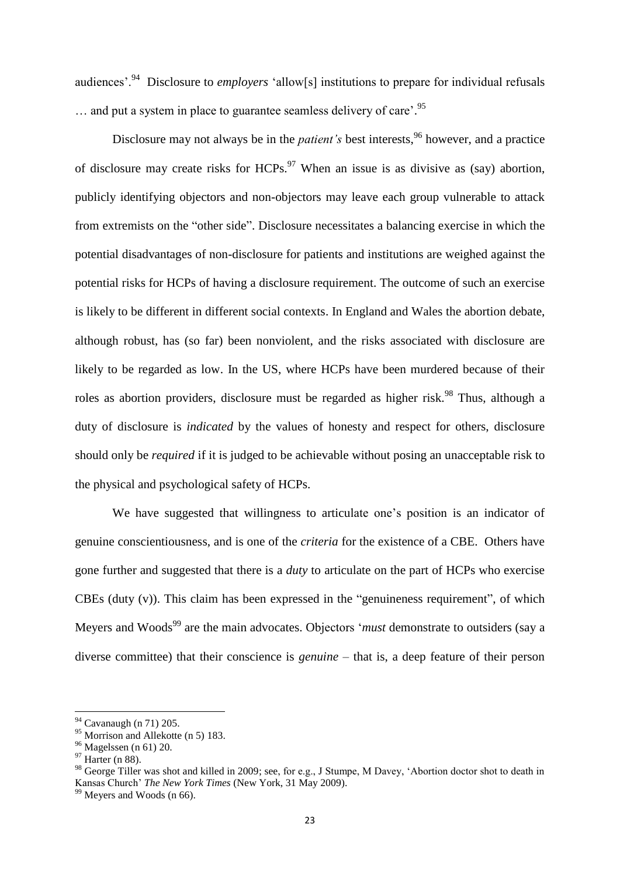audiences<sup>". 94</sup> Disclosure to *employers* "allow[s] institutions to prepare for individual refusals ... and put a system in place to guarantee seamless delivery of care'.<sup>95</sup>

Disclosure may not always be in the *patient's* best interests, <sup>96</sup> however, and a practice of disclosure may create risks for HCPs.<sup>97</sup> When an issue is as divisive as (say) abortion, publicly identifying objectors and non-objectors may leave each group vulnerable to attack from extremists on the "other side". Disclosure necessitates a balancing exercise in which the potential disadvantages of non-disclosure for patients and institutions are weighed against the potential risks for HCPs of having a disclosure requirement. The outcome of such an exercise is likely to be different in different social contexts. In England and Wales the abortion debate, although robust, has (so far) been nonviolent, and the risks associated with disclosure are likely to be regarded as low. In the US, where HCPs have been murdered because of their roles as abortion providers, disclosure must be regarded as higher risk.<sup>98</sup> Thus, although a duty of disclosure is *indicated* by the values of honesty and respect for others, disclosure should only be *required* if it is judged to be achievable without posing an unacceptable risk to the physical and psychological safety of HCPs.

We have suggested that willingness to articulate one's position is an indicator of genuine conscientiousness, and is one of the *criteria* for the existence of a CBE. Others have gone further and suggested that there is a *duty* to articulate on the part of HCPs who exercise CBEs (duty (v)). This claim has been expressed in the "genuineness requirement", of which Meyers and Woods<sup>99</sup> are the main advocates. Objectors '*must* demonstrate to outsiders (say a diverse committee) that their conscience is *genuine* – that is, a deep feature of their person

 $94$  Cavanaugh (n 71) 205.

<sup>&</sup>lt;sup>95</sup> Morrison and Allekotte (n 5) 183.

<sup>96</sup> Magelssen (n 61) 20.

 $97$  Harter (n 88).

<sup>&</sup>lt;sup>98</sup> George Tiller was shot and killed in 2009; see, for e.g., J Stumpe, M Davey, 'Abortion doctor shot to death in Kansas Church" *The New York Times* (New York, 31 May 2009).

 $99$  Meyers and Woods (n 66).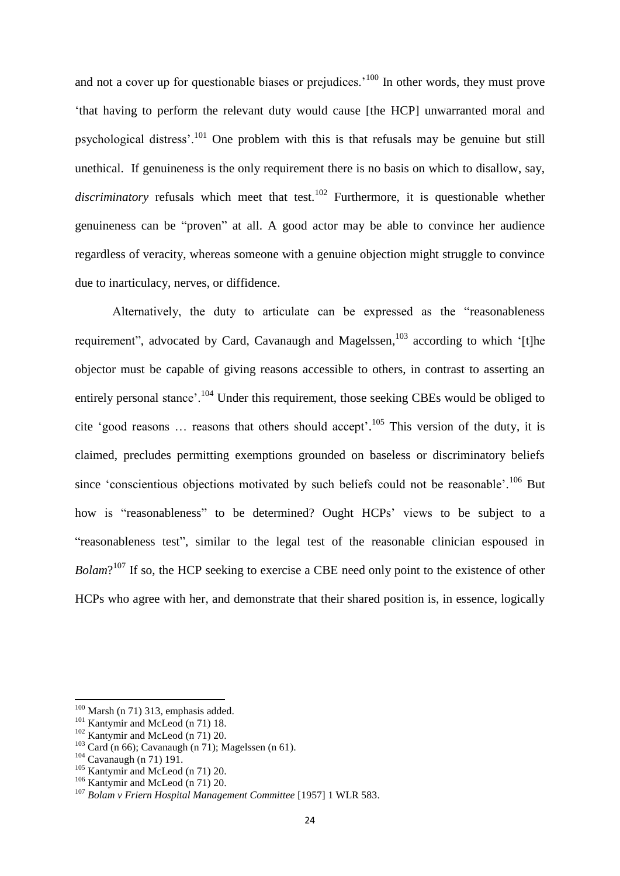and not a cover up for questionable biases or prejudices.<sup>'100</sup> In other words, they must prove "that having to perform the relevant duty would cause [the HCP] unwarranted moral and psychological distress'.<sup>101</sup> One problem with this is that refusals may be genuine but still unethical. If genuineness is the only requirement there is no basis on which to disallow, say, discriminatory refusals which meet that test.<sup>102</sup> Furthermore, it is questionable whether genuineness can be "proven" at all. A good actor may be able to convince her audience regardless of veracity, whereas someone with a genuine objection might struggle to convince due to inarticulacy, nerves, or diffidence.

Alternatively, the duty to articulate can be expressed as the "reasonableness requirement", advocated by Card, Cavanaugh and Magelssen,<sup>103</sup> according to which '[t]he objector must be capable of giving reasons accessible to others, in contrast to asserting an entirely personal stance'.<sup>104</sup> Under this requirement, those seeking CBEs would be obliged to cite 'good reasons ... reasons that others should accept'.<sup>105</sup> This version of the duty, it is claimed, precludes permitting exemptions grounded on baseless or discriminatory beliefs since 'conscientious objections motivated by such beliefs could not be reasonable'.<sup>106</sup> But how is "reasonableness" to be determined? Ought HCPs' views to be subject to a "reasonableness test", similar to the legal test of the reasonable clinician espoused in *Bolam*?<sup>107</sup> If so, the HCP seeking to exercise a CBE need only point to the existence of other HCPs who agree with her, and demonstrate that their shared position is, in essence, logically

 $100$  Marsh (n 71) 313, emphasis added.

<sup>&</sup>lt;sup>101</sup> Kantymir and McLeod (n 71) 18.

<sup>102</sup> Kantymir and McLeod (n 71) 20.

<sup>103</sup> Card (n 66); Cavanaugh (n 71); Magelssen (n 61).

<sup>104</sup> Cavanaugh (n 71) 191.

 $^{105}$  Kantymir and McLeod (n 71) 20.

 $106$  Kantymir and McLeod (n 71) 20.

<sup>107</sup> *Bolam v Friern Hospital Management Committee* [1957] 1 WLR 583.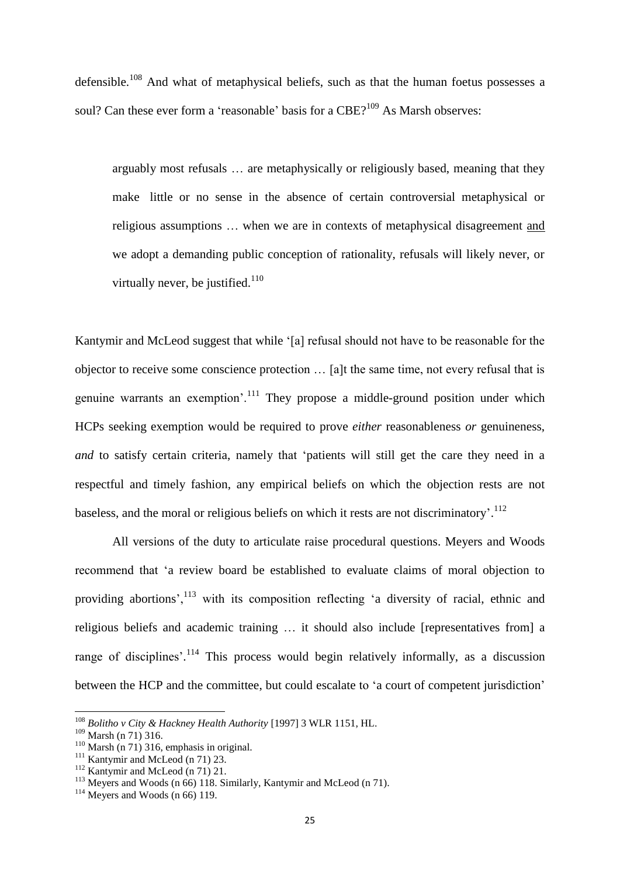defensible.<sup>108</sup> And what of metaphysical beliefs, such as that the human foetus possesses a soul? Can these ever form a 'reasonable' basis for a  $CBE$ <sup>109</sup> As Marsh observes:

arguably most refusals … are metaphysically or religiously based, meaning that they make little or no sense in the absence of certain controversial metaphysical or religious assumptions … when we are in contexts of metaphysical disagreement and we adopt a demanding public conception of rationality, refusals will likely never, or virtually never, be justified.<sup>110</sup>

Kantymir and McLeod suggest that while "[a] refusal should not have to be reasonable for the objector to receive some conscience protection … [a]t the same time, not every refusal that is genuine warrants an exemption'.<sup>111</sup> They propose a middle-ground position under which HCPs seeking exemption would be required to prove *either* reasonableness *or* genuineness, *and* to satisfy certain criteria, namely that 'patients will still get the care they need in a respectful and timely fashion, any empirical beliefs on which the objection rests are not baseless, and the moral or religious beliefs on which it rests are not discriminatory<sup> $112$ </sup>

All versions of the duty to articulate raise procedural questions. Meyers and Woods recommend that "a review board be established to evaluate claims of moral objection to providing abortions',<sup>113</sup> with its composition reflecting 'a diversity of racial, ethnic and religious beliefs and academic training … it should also include [representatives from] a range of disciplines'.<sup>114</sup> This process would begin relatively informally, as a discussion between the HCP and the committee, but could escalate to 'a court of competent jurisdiction'

<sup>108</sup> *Bolitho v City & Hackney Health Authority* [1997] 3 WLR 1151, HL.

 $109$  Marsh (n 71) 316.

<sup>&</sup>lt;sup>110</sup> Marsh (n 71) 316, emphasis in original.

 $111$  Kantymir and McLeod (n 71) 23.

 $112$  Kantymir and McLeod (n 71) 21.

<sup>&</sup>lt;sup>113</sup> Meyers and Woods (n 66) 118. Similarly, Kantymir and McLeod (n 71).

 $114$  Meyers and Woods (n 66) 119.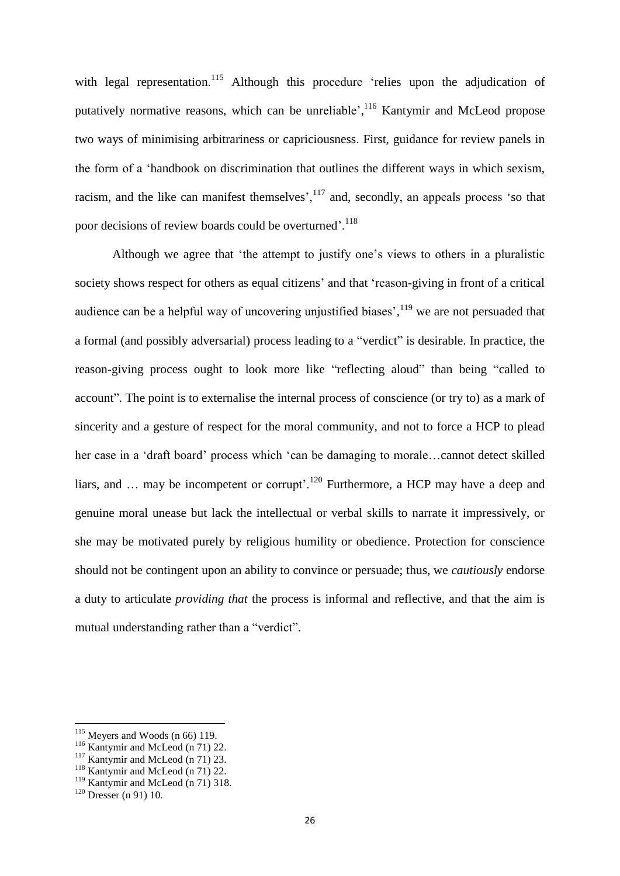with legal representation.<sup>115</sup> Although this procedure 'relies upon the adjudication of putatively normative reasons, which can be unreliable', <sup>116</sup> Kantymir and McLeod propose two ways of minimising arbitrariness or capriciousness. First, guidance for review panels in the form of a "handbook on discrimination that outlines the different ways in which sexism, racism, and the like can manifest themselves', $1^{17}$  and, secondly, an appeals process 'so that poor decisions of review boards could be overturned'.<sup>118</sup>

Although we agree that "the attempt to justify one"s views to others in a pluralistic society shows respect for others as equal citizens' and that 'reason-giving in front of a critical audience can be a helpful way of uncovering unjustified biases', $1^{19}$  we are not persuaded that a formal (and possibly adversarial) process leading to a "verdict" is desirable. In practice, the reason-giving process ought to look more like "reflecting aloud" than being "called to account". The point is to externalise the internal process of conscience (or try to) as a mark of sincerity and a gesture of respect for the moral community, and not to force a HCP to plead her case in a "draft board" process which "can be damaging to morale…cannot detect skilled liars, and ... may be incompetent or corrupt'.<sup>120</sup> Furthermore, a HCP may have a deep and genuine moral unease but lack the intellectual or verbal skills to narrate it impressively, or she may be motivated purely by religious humility or obedience. Protection for conscience should not be contingent upon an ability to convince or persuade; thus, we *cautiously* endorse a duty to articulate *providing that* the process is informal and reflective, and that the aim is mutual understanding rather than a "verdict".

1

<sup>&</sup>lt;sup>115</sup> Meyers and Woods (n 66) 119.

 $116$  Kantymir and McLeod (n 71) 22.

 $117$  Kantymir and McLeod (n 71) 23.

 $118$  Kantymir and McLeod (n 71) 22.

 $119$  Kantymir and McLeod (n 71) 318.

 $120$  Dresser (n 91) 10.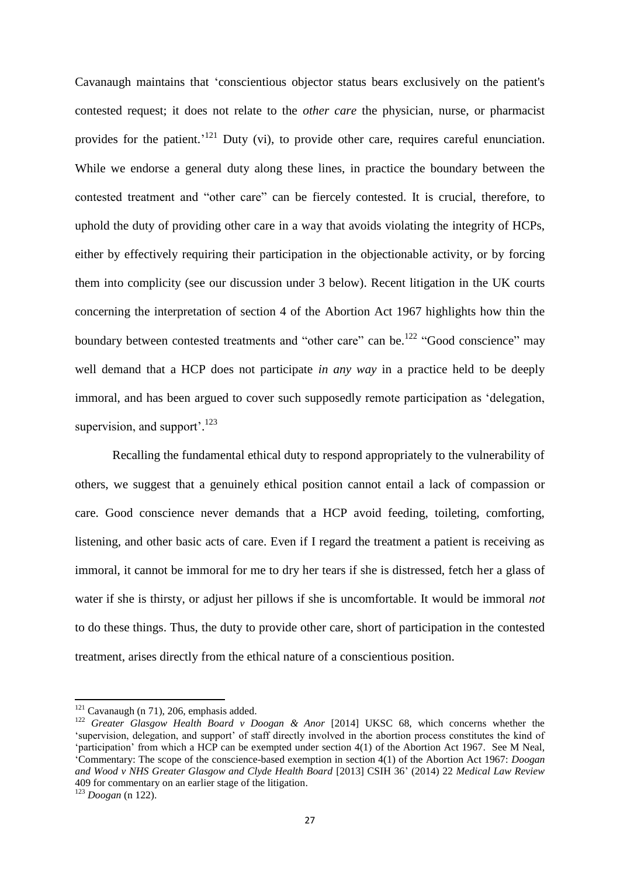Cavanaugh maintains that "conscientious objector status bears exclusively on the patient's contested request; it does not relate to the *other care* the physician, nurse, or pharmacist provides for the patient.<sup>'121</sup> Duty (vi), to provide other care, requires careful enunciation. While we endorse a general duty along these lines, in practice the boundary between the contested treatment and "other care" can be fiercely contested. It is crucial, therefore, to uphold the duty of providing other care in a way that avoids violating the integrity of HCPs, either by effectively requiring their participation in the objectionable activity, or by forcing them into complicity (see our discussion under 3 below). Recent litigation in the UK courts concerning the interpretation of section 4 of the Abortion Act 1967 highlights how thin the boundary between contested treatments and "other care" can be.<sup>122</sup> "Good conscience" may well demand that a HCP does not participate *in any way* in a practice held to be deeply immoral, and has been argued to cover such supposedly remote participation as "delegation, supervision, and support'. $^{123}$ 

Recalling the fundamental ethical duty to respond appropriately to the vulnerability of others, we suggest that a genuinely ethical position cannot entail a lack of compassion or care. Good conscience never demands that a HCP avoid feeding, toileting, comforting, listening, and other basic acts of care. Even if I regard the treatment a patient is receiving as immoral, it cannot be immoral for me to dry her tears if she is distressed, fetch her a glass of water if she is thirsty, or adjust her pillows if she is uncomfortable. It would be immoral *not* to do these things. Thus, the duty to provide other care, short of participation in the contested treatment, arises directly from the ethical nature of a conscientious position.

 $121$  Cavanaugh (n 71), 206, emphasis added.

<sup>122</sup> *Greater Glasgow Health Board v Doogan & Anor* [2014] UKSC 68, which concerns whether the "supervision, delegation, and support" of staff directly involved in the abortion process constitutes the kind of "participation" from which a HCP can be exempted under section 4(1) of the Abortion Act 1967. See M Neal, "Commentary: The scope of the conscience-based exemption in section 4(1) of the Abortion Act 1967: *Doogan and Wood v NHS Greater Glasgow and Clyde Health Board* [2013] CSIH 36" (2014) 22 *Medical Law Review* 409 for commentary on an earlier stage of the litigation.

<sup>123</sup> *Doogan* (n 122).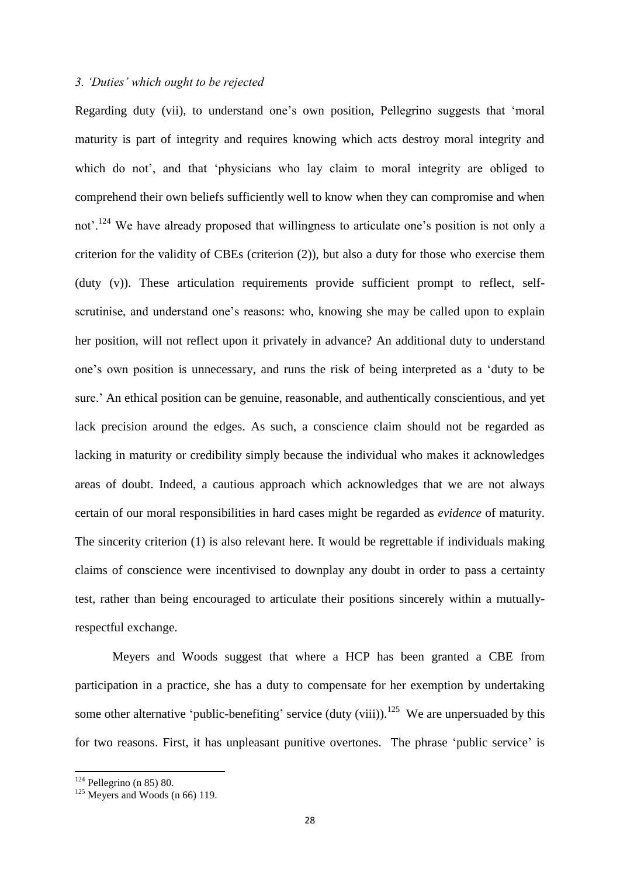## *3. "Duties" which ought to be rejected*

Regarding duty (vii), to understand one"s own position, Pellegrino suggests that "moral maturity is part of integrity and requires knowing which acts destroy moral integrity and which do not', and that 'physicians who lay claim to moral integrity are obliged to comprehend their own beliefs sufficiently well to know when they can compromise and when not'.<sup>124</sup> We have already proposed that willingness to articulate one's position is not only a criterion for the validity of CBEs (criterion (2)), but also a duty for those who exercise them (duty (v)). These articulation requirements provide sufficient prompt to reflect, selfscrutinise, and understand one's reasons: who, knowing she may be called upon to explain her position, will not reflect upon it privately in advance? An additional duty to understand one"s own position is unnecessary, and runs the risk of being interpreted as a "duty to be sure." An ethical position can be genuine, reasonable, and authentically conscientious, and yet lack precision around the edges. As such, a conscience claim should not be regarded as lacking in maturity or credibility simply because the individual who makes it acknowledges areas of doubt. Indeed, a cautious approach which acknowledges that we are not always certain of our moral responsibilities in hard cases might be regarded as *evidence* of maturity. The sincerity criterion (1) is also relevant here. It would be regrettable if individuals making claims of conscience were incentivised to downplay any doubt in order to pass a certainty test, rather than being encouraged to articulate their positions sincerely within a mutuallyrespectful exchange.

Meyers and Woods suggest that where a HCP has been granted a CBE from participation in a practice, she has a duty to compensate for her exemption by undertaking some other alternative 'public-benefiting' service (duty (viii)).<sup>125</sup> We are unpersuaded by this for two reasons. First, it has unpleasant punitive overtones. The phrase 'public service' is

 $124$  Pellegrino (n 85) 80.

 $125$  Meyers and Woods (n 66) 119.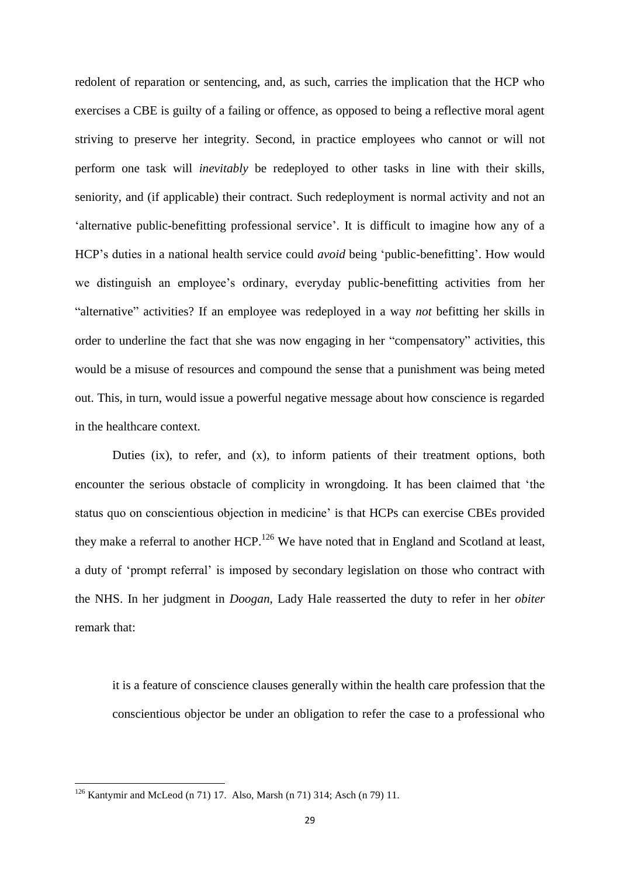redolent of reparation or sentencing, and, as such, carries the implication that the HCP who exercises a CBE is guilty of a failing or offence, as opposed to being a reflective moral agent striving to preserve her integrity. Second, in practice employees who cannot or will not perform one task will *inevitably* be redeployed to other tasks in line with their skills, seniority, and (if applicable) their contract. Such redeployment is normal activity and not an "alternative public-benefitting professional service". It is difficult to imagine how any of a HCP"s duties in a national health service could *avoid* being "public-benefitting". How would we distinguish an employee's ordinary, everyday public-benefitting activities from her "alternative" activities? If an employee was redeployed in a way *not* befitting her skills in order to underline the fact that she was now engaging in her "compensatory" activities, this would be a misuse of resources and compound the sense that a punishment was being meted out. This, in turn, would issue a powerful negative message about how conscience is regarded in the healthcare context.

Duties (ix), to refer, and (x), to inform patients of their treatment options, both encounter the serious obstacle of complicity in wrongdoing. It has been claimed that "the status quo on conscientious objection in medicine' is that HCPs can exercise CBEs provided they make a referral to another HCP.<sup>126</sup> We have noted that in England and Scotland at least, a duty of "prompt referral" is imposed by secondary legislation on those who contract with the NHS. In her judgment in *Doogan*, Lady Hale reasserted the duty to refer in her *obiter* remark that:

it is a feature of conscience clauses generally within the health care profession that the conscientious objector be under an obligation to refer the case to a professional who

 $126$  Kantymir and McLeod (n 71) 17. Also, Marsh (n 71) 314; Asch (n 79) 11.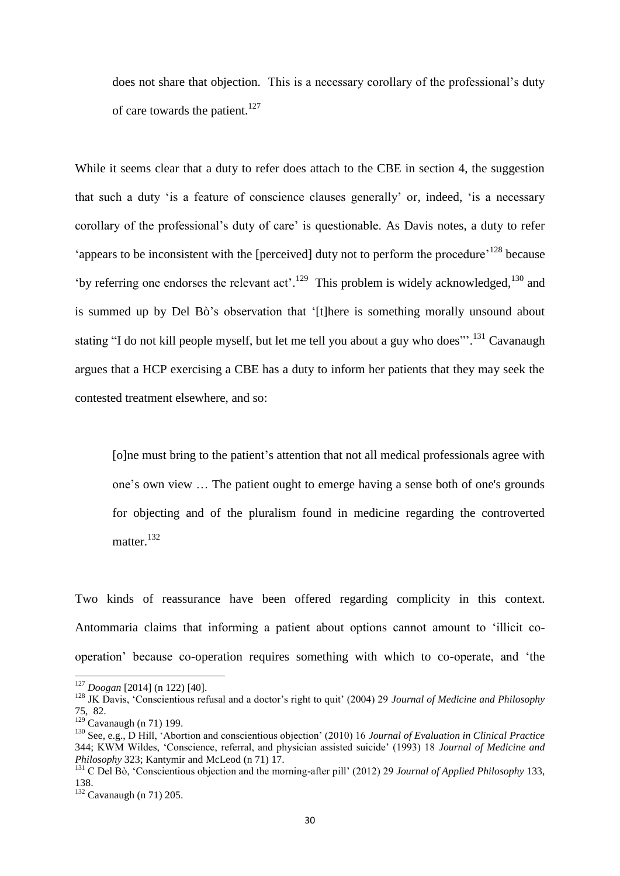does not share that objection. This is a necessary corollary of the professional"s duty of care towards the patient. $127$ 

While it seems clear that a duty to refer does attach to the CBE in section 4, the suggestion that such a duty "is a feature of conscience clauses generally" or, indeed, "is a necessary corollary of the professional's duty of care' is questionable. As Davis notes, a duty to refer 'appears to be inconsistent with the [perceived] duty not to perform the procedure<sup> $128$ </sup> because 'by referring one endorses the relevant act'.<sup>129</sup> This problem is widely acknowledged,<sup>130</sup> and is summed up by Del Bò"s observation that "[t]here is something morally unsound about stating "I do not kill people myself, but let me tell you about a guy who does"<sup>", 131</sup> Cavanaugh argues that a HCP exercising a CBE has a duty to inform her patients that they may seek the contested treatment elsewhere, and so:

[o]ne must bring to the patient"s attention that not all medical professionals agree with one"s own view … The patient ought to emerge having a sense both of one's grounds for objecting and of the pluralism found in medicine regarding the controverted matter.<sup>132</sup>

Two kinds of reassurance have been offered regarding complicity in this context. Antommaria claims that informing a patient about options cannot amount to "illicit cooperation" because co-operation requires something with which to co-operate, and "the

<sup>127</sup> *Doogan* [2014] (n 122) [40].

<sup>&</sup>lt;sup>128</sup> JK Davis, 'Conscientious refusal and a doctor's right to quit' (2004) 29 *Journal of Medicine and Philosophy* 75, 82.

 $129$  Cavanaugh (n 71) 199.

<sup>130</sup> See, e.g., D Hill, "Abortion and conscientious objection" (2010) 16 *Journal of Evaluation in Clinical Practice* 344; KWM Wildes, "Conscience, referral, and physician assisted suicide" (1993) 18 *Journal of Medicine and Philosophy* 323; Kantymir and McLeod (n 71) 17.

<sup>131</sup> C Del Bò, "Conscientious objection and the morning-after pill" (2012) 29 *Journal of Applied Philosophy* 133, 138.

 $132$  Cavanaugh (n 71) 205.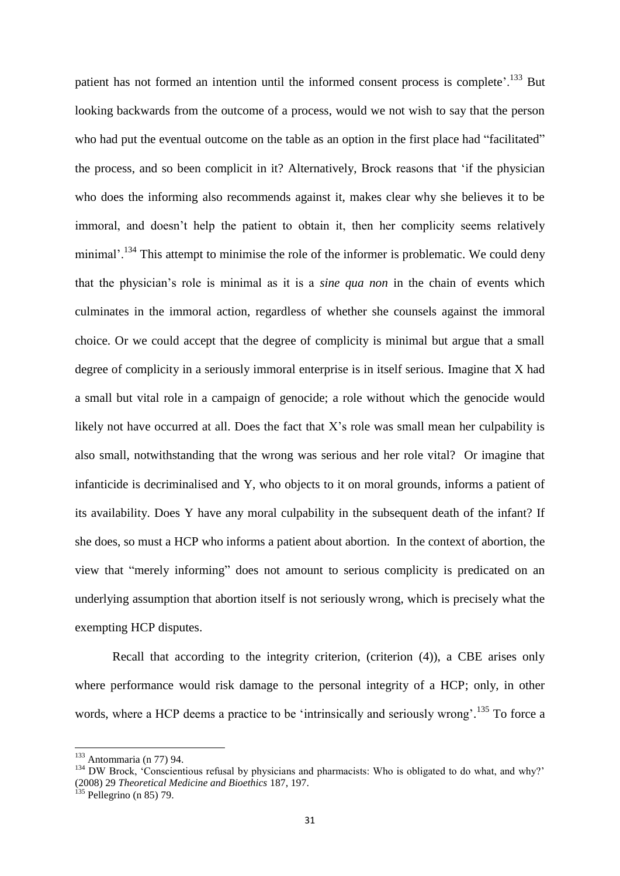patient has not formed an intention until the informed consent process is complete'.<sup>133</sup> But looking backwards from the outcome of a process, would we not wish to say that the person who had put the eventual outcome on the table as an option in the first place had "facilitated" the process, and so been complicit in it? Alternatively, Brock reasons that "if the physician who does the informing also recommends against it, makes clear why she believes it to be immoral, and doesn"t help the patient to obtain it, then her complicity seems relatively minimal'.<sup>134</sup> This attempt to minimise the role of the informer is problematic. We could deny that the physician"s role is minimal as it is a *sine qua non* in the chain of events which culminates in the immoral action, regardless of whether she counsels against the immoral choice. Or we could accept that the degree of complicity is minimal but argue that a small degree of complicity in a seriously immoral enterprise is in itself serious. Imagine that X had a small but vital role in a campaign of genocide; a role without which the genocide would likely not have occurred at all. Does the fact that X's role was small mean her culpability is also small, notwithstanding that the wrong was serious and her role vital? Or imagine that infanticide is decriminalised and Y, who objects to it on moral grounds, informs a patient of its availability. Does Y have any moral culpability in the subsequent death of the infant? If she does, so must a HCP who informs a patient about abortion. In the context of abortion, the view that "merely informing" does not amount to serious complicity is predicated on an underlying assumption that abortion itself is not seriously wrong, which is precisely what the exempting HCP disputes.

Recall that according to the integrity criterion, (criterion (4)), a CBE arises only where performance would risk damage to the personal integrity of a HCP; only, in other words, where a HCP deems a practice to be 'intrinsically and seriously wrong'.<sup>135</sup> To force a

 $133$  Antommaria (n 77) 94.

<sup>&</sup>lt;sup>134</sup> DW Brock, 'Conscientious refusal by physicians and pharmacists: Who is obligated to do what, and why?' (2008) 29 *Theoretical Medicine and Bioethics* 187, 197.

 $^{135}$  Pellegrino (n 85) 79.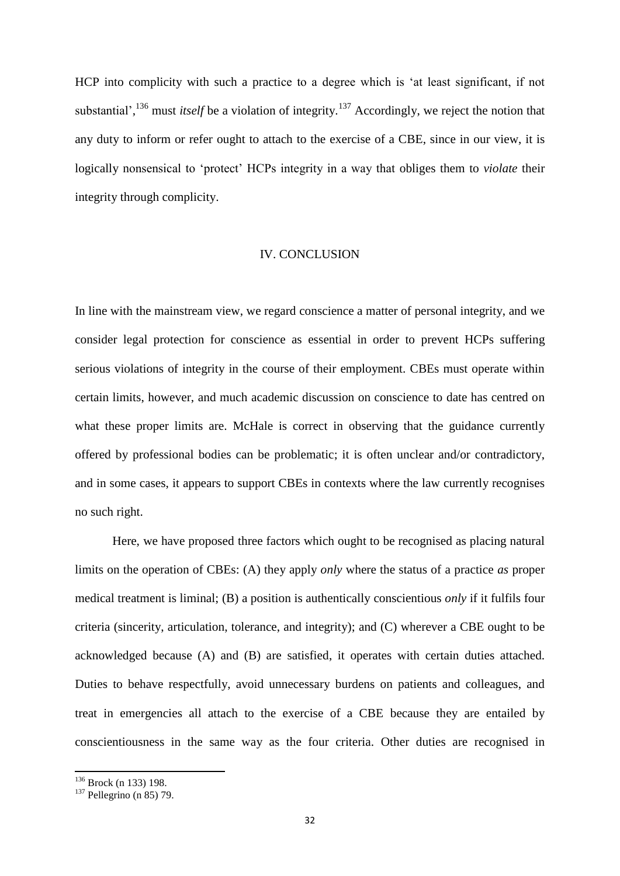HCP into complicity with such a practice to a degree which is "at least significant, if not substantial',<sup>136</sup> must *itself* be a violation of integrity.<sup>137</sup> Accordingly, we reject the notion that any duty to inform or refer ought to attach to the exercise of a CBE, since in our view, it is logically nonsensical to "protect" HCPs integrity in a way that obliges them to *violate* their integrity through complicity.

#### IV. CONCLUSION

In line with the mainstream view, we regard conscience a matter of personal integrity, and we consider legal protection for conscience as essential in order to prevent HCPs suffering serious violations of integrity in the course of their employment. CBEs must operate within certain limits, however, and much academic discussion on conscience to date has centred on what these proper limits are. McHale is correct in observing that the guidance currently offered by professional bodies can be problematic; it is often unclear and/or contradictory, and in some cases, it appears to support CBEs in contexts where the law currently recognises no such right.

Here, we have proposed three factors which ought to be recognised as placing natural limits on the operation of CBEs: (A) they apply *only* where the status of a practice *as* proper medical treatment is liminal; (B) a position is authentically conscientious *only* if it fulfils four criteria (sincerity, articulation, tolerance, and integrity); and (C) wherever a CBE ought to be acknowledged because (A) and (B) are satisfied, it operates with certain duties attached. Duties to behave respectfully, avoid unnecessary burdens on patients and colleagues, and treat in emergencies all attach to the exercise of a CBE because they are entailed by conscientiousness in the same way as the four criteria. Other duties are recognised in

<sup>&</sup>lt;sup>136</sup> Brock (n 133) 198.

 $137$  Pellegrino (n 85) 79.